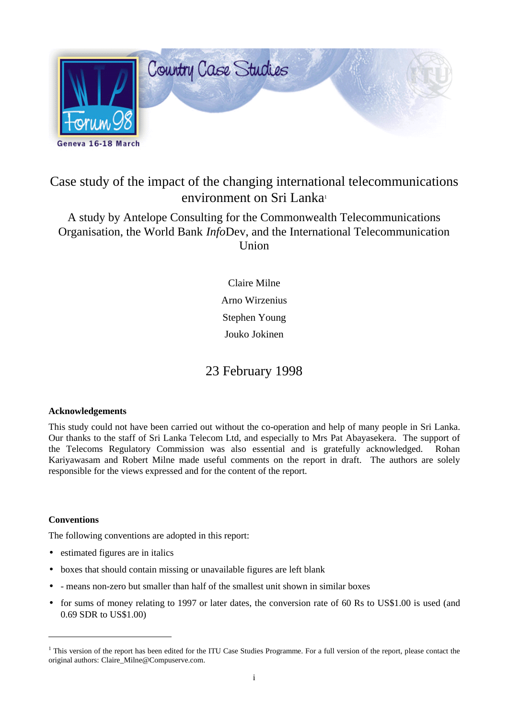

# Case study of the impact of the changing international telecommunications environment on Sri Lanka<sup>1</sup>

A study by Antelope Consulting for the Commonwealth Telecommunications Organisation, the World Bank *Info*Dev, and the International Telecommunication Union

> Claire Milne Arno Wirzenius Stephen Young Jouko Jokinen

# 23 February 1998

## **Acknowledgements**

This study could not have been carried out without the co-operation and help of many people in Sri Lanka. Our thanks to the staff of Sri Lanka Telecom Ltd, and especially to Mrs Pat Abayasekera. The support of the Telecoms Regulatory Commission was also essential and is gratefully acknowledged. Rohan Kariyawasam and Robert Milne made useful comments on the report in draft. The authors are solely responsible for the views expressed and for the content of the report.

## **Conventions**

 $\overline{a}$ 

The following conventions are adopted in this report:

- estimated figures are in italics
- boxes that should contain missing or unavailable figures are left blank
- - means non-zero but smaller than half of the smallest unit shown in similar boxes
- for sums of money relating to 1997 or later dates, the conversion rate of 60 Rs to US\$1.00 is used (and 0.69 SDR to US\$1.00)

<sup>&</sup>lt;sup>1</sup> This version of the report has been edited for the ITU Case Studies Programme. For a full version of the report, please contact the original authors: Claire\_Milne@Compuserve.com.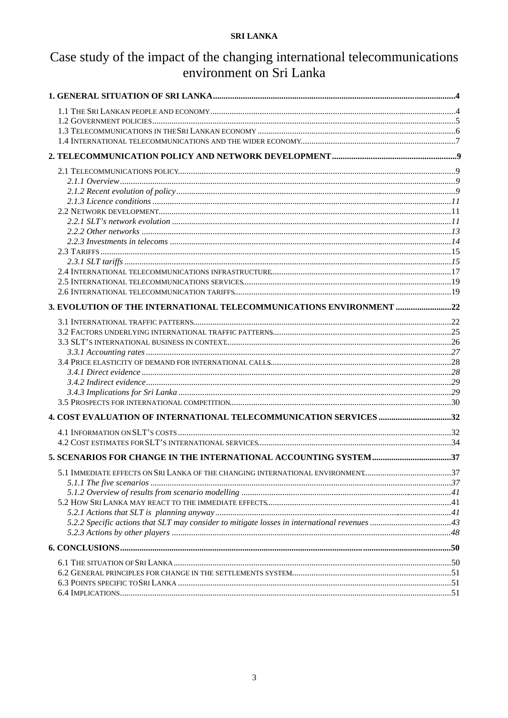# Case study of the impact of the changing international telecommunications environment on Sri Lanka

| 3. EVOLUTION OF THE INTERNATIONAL TELECOMMUNICATIONS ENVIRONMENT 22            |  |
|--------------------------------------------------------------------------------|--|
|                                                                                |  |
|                                                                                |  |
|                                                                                |  |
|                                                                                |  |
|                                                                                |  |
|                                                                                |  |
|                                                                                |  |
|                                                                                |  |
|                                                                                |  |
| 4. COST EVALUATION OF INTERNATIONAL TELECOMMUNICATION SERVICES 32              |  |
|                                                                                |  |
|                                                                                |  |
|                                                                                |  |
| 5.1 IMMEDIATE EFFECTS ON SRI LANKA OF THE CHANGING INTERNATIONAL ENVIRONMENT37 |  |
|                                                                                |  |
|                                                                                |  |
|                                                                                |  |
|                                                                                |  |
|                                                                                |  |
|                                                                                |  |
|                                                                                |  |
|                                                                                |  |
|                                                                                |  |
|                                                                                |  |
|                                                                                |  |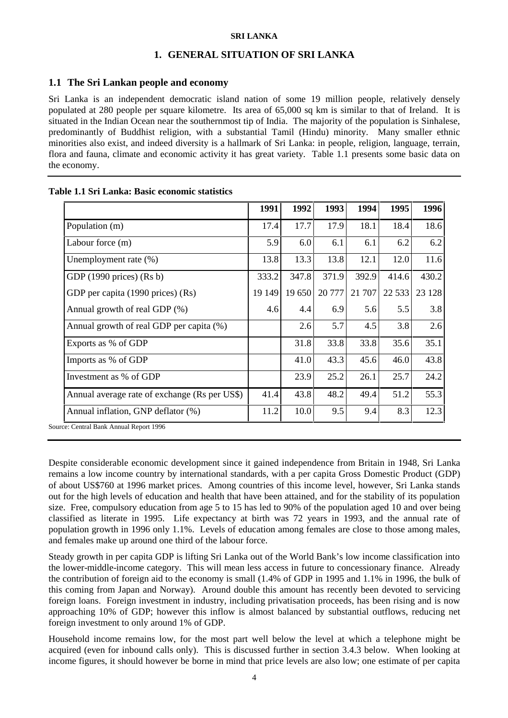## **1. GENERAL SITUATION OF SRI LANKA**

## **1.1 The Sri Lankan people and economy**

Sri Lanka is an independent democratic island nation of some 19 million people, relatively densely populated at 280 people per square kilometre. Its area of 65,000 sq km is similar to that of Ireland. It is situated in the Indian Ocean near the southernmost tip of India. The majority of the population is Sinhalese, predominantly of Buddhist religion, with a substantial Tamil (Hindu) minority. Many smaller ethnic minorities also exist, and indeed diversity is a hallmark of Sri Lanka: in people, religion, language, terrain, flora and fauna, climate and economic activity it has great variety. Table 1.1 presents some basic data on the economy.

|                                               | 1991   | 1992   | 1993   | 1994   | 1995    | 1996    |
|-----------------------------------------------|--------|--------|--------|--------|---------|---------|
| Population (m)                                | 17.4   | 17.7   | 17.9   | 18.1   | 18.4    | 18.6    |
| Labour force (m)                              | 5.9    | 6.0    | 6.1    | 6.1    | 6.2     | 6.2     |
| Unemployment rate $(\%)$                      | 13.8   | 13.3   | 13.8   | 12.1   | 12.0    | 11.6    |
| GDP $(1990)$ prices) $(Rs b)$                 | 333.2  | 347.8  | 371.9  | 392.9  | 414.6   | 430.2   |
| GDP per capita (1990 prices) (Rs)             | 19 149 | 19 650 | 20 777 | 21 707 | 22 5 33 | 23 1 28 |
| Annual growth of real GDP (%)                 | 4.6    | 4.4    | 6.9    | 5.6    | 5.5     | 3.8     |
| Annual growth of real GDP per capita (%)      |        | 2.6    | 5.7    | 4.5    | 3.8     | 2.6     |
| Exports as % of GDP                           |        | 31.8   | 33.8   | 33.8   | 35.6    | 35.1    |
| Imports as % of GDP                           |        | 41.0   | 43.3   | 45.6   | 46.0    | 43.8    |
| Investment as % of GDP                        |        | 23.9   | 25.2   | 26.1   | 25.7    | 24.2    |
| Annual average rate of exchange (Rs per US\$) | 41.4   | 43.8   | 48.2   | 49.4   | 51.2    | 55.3    |
| Annual inflation, GNP deflator (%)            | 11.2   | 10.0   | 9.5    | 9.4    | 8.3     | 12.3    |

## **Table 1.1 Sri Lanka: Basic economic statistics**

Source: Central Bank Annual Report 1996

Despite considerable economic development since it gained independence from Britain in 1948, Sri Lanka remains a low income country by international standards, with a per capita Gross Domestic Product (GDP) of about US\$760 at 1996 market prices. Among countries of this income level, however, Sri Lanka stands out for the high levels of education and health that have been attained, and for the stability of its population size. Free, compulsory education from age 5 to 15 has led to 90% of the population aged 10 and over being classified as literate in 1995. Life expectancy at birth was 72 years in 1993, and the annual rate of population growth in 1996 only 1.1%. Levels of education among females are close to those among males, and females make up around one third of the labour force.

Steady growth in per capita GDP is lifting Sri Lanka out of the World Bank's low income classification into the lower-middle-income category. This will mean less access in future to concessionary finance. Already the contribution of foreign aid to the economy is small (1.4% of GDP in 1995 and 1.1% in 1996, the bulk of this coming from Japan and Norway). Around double this amount has recently been devoted to servicing foreign loans. Foreign investment in industry, including privatisation proceeds, has been rising and is now approaching 10% of GDP; however this inflow is almost balanced by substantial outflows, reducing net foreign investment to only around 1% of GDP.

Household income remains low, for the most part well below the level at which a telephone might be acquired (even for inbound calls only). This is discussed further in section 3.4.3 below. When looking at income figures, it should however be borne in mind that price levels are also low; one estimate of per capita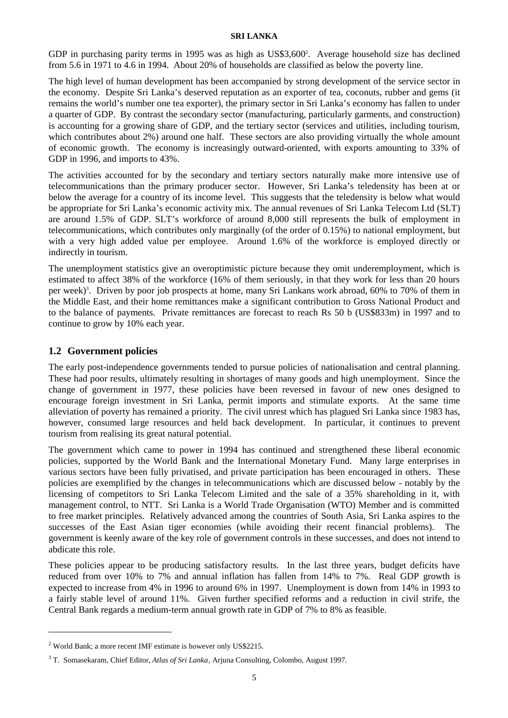GDP in purchasing parity terms in 1995 was as high as US\$3,600<sup>2</sup>. Average household size has declined from 5.6 in 1971 to 4.6 in 1994. About 20% of households are classified as below the poverty line.

The high level of human development has been accompanied by strong development of the service sector in the economy. Despite Sri Lanka's deserved reputation as an exporter of tea, coconuts, rubber and gems (it remains the world's number one tea exporter), the primary sector in Sri Lanka's economy has fallen to under a quarter of GDP. By contrast the secondary sector (manufacturing, particularly garments, and construction) is accounting for a growing share of GDP, and the tertiary sector (services and utilities, including tourism, which contributes about 2%) around one half. These sectors are also providing virtually the whole amount of economic growth. The economy is increasingly outward-oriented, with exports amounting to 33% of GDP in 1996, and imports to 43%.

The activities accounted for by the secondary and tertiary sectors naturally make more intensive use of telecommunications than the primary producer sector. However, Sri Lanka's teledensity has been at or below the average for a country of its income level. This suggests that the teledensity is below what would be appropriate for Sri Lanka's economic activity mix. The annual revenues of Sri Lanka Telecom Ltd (SLT) are around 1.5% of GDP. SLT's workforce of around 8,000 still represents the bulk of employment in telecommunications, which contributes only marginally (of the order of 0.15%) to national employment, but with a very high added value per employee. Around 1.6% of the workforce is employed directly or indirectly in tourism.

The unemployment statistics give an overoptimistic picture because they omit underemployment, which is estimated to affect 38% of the workforce (16% of them seriously, in that they work for less than 20 hours per week)<sup>3</sup>. Driven by poor job prospects at home, many Sri Lankans work abroad, 60% to 70% of them in the Middle East, and their home remittances make a significant contribution to Gross National Product and to the balance of payments. Private remittances are forecast to reach Rs 50 b (US\$833m) in 1997 and to continue to grow by 10% each year.

## **1.2 Government policies**

The early post-independence governments tended to pursue policies of nationalisation and central planning. These had poor results, ultimately resulting in shortages of many goods and high unemployment. Since the change of government in 1977, these policies have been reversed in favour of new ones designed to encourage foreign investment in Sri Lanka, permit imports and stimulate exports. At the same time alleviation of poverty has remained a priority. The civil unrest which has plagued Sri Lanka since 1983 has, however, consumed large resources and held back development. In particular, it continues to prevent tourism from realising its great natural potential.

The government which came to power in 1994 has continued and strengthened these liberal economic policies, supported by the World Bank and the International Monetary Fund. Many large enterprises in various sectors have been fully privatised, and private participation has been encouraged in others. These policies are exemplified by the changes in telecommunications which are discussed below - notably by the licensing of competitors to Sri Lanka Telecom Limited and the sale of a 35% shareholding in it, with management control, to NTT. Sri Lanka is a World Trade Organisation (WTO) Member and is committed to free market principles. Relatively advanced among the countries of South Asia, Sri Lanka aspires to the successes of the East Asian tiger economies (while avoiding their recent financial problems). The government is keenly aware of the key role of government controls in these successes, and does not intend to abdicate this role.

These policies appear to be producing satisfactory results. In the last three years, budget deficits have reduced from over 10% to 7% and annual inflation has fallen from 14% to 7%. Real GDP growth is expected to increase from 4% in 1996 to around 6% in 1997. Unemployment is down from 14% in 1993 to a fairly stable level of around 11%. Given further specified reforms and a reduction in civil strife, the Central Bank regards a medium-term annual growth rate in GDP of 7% to 8% as feasible.

 $\overline{a}$ 

<sup>&</sup>lt;sup>2</sup> World Bank; a more recent IMF estimate is however only US\$2215.

<sup>3</sup> T. Somasekaram, Chief Editor, *Atlas of Sri Lanka*, Arjuna Consulting, Colombo, August 1997.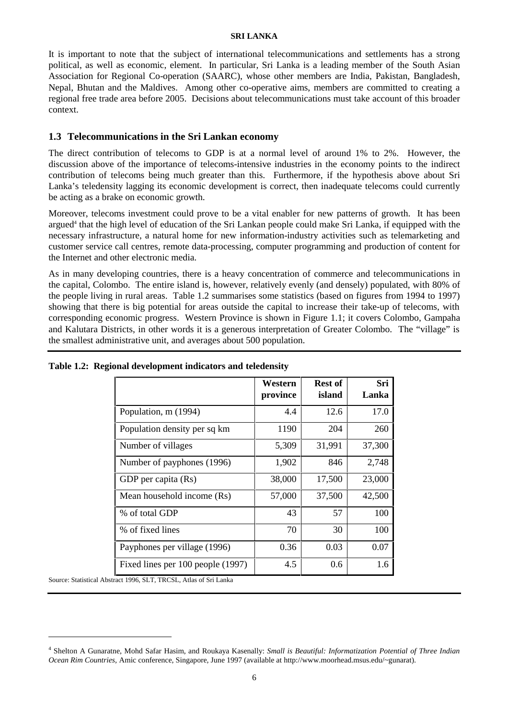It is important to note that the subject of international telecommunications and settlements has a strong political, as well as economic, element. In particular, Sri Lanka is a leading member of the South Asian Association for Regional Co-operation (SAARC), whose other members are India, Pakistan, Bangladesh, Nepal, Bhutan and the Maldives. Among other co-operative aims, members are committed to creating a regional free trade area before 2005. Decisions about telecommunications must take account of this broader context.

## **1.3 Telecommunications in the Sri Lankan economy**

The direct contribution of telecoms to GDP is at a normal level of around 1% to 2%. However, the discussion above of the importance of telecoms-intensive industries in the economy points to the indirect contribution of telecoms being much greater than this. Furthermore, if the hypothesis above about Sri Lanka's teledensity lagging its economic development is correct, then inadequate telecoms could currently be acting as a brake on economic growth.

Moreover, telecoms investment could prove to be a vital enabler for new patterns of growth. It has been argued<sup>4</sup> that the high level of education of the Sri Lankan people could make Sri Lanka, if equipped with the necessary infrastructure, a natural home for new information-industry activities such as telemarketing and customer service call centres, remote data-processing, computer programming and production of content for the Internet and other electronic media.

As in many developing countries, there is a heavy concentration of commerce and telecommunications in the capital, Colombo. The entire island is, however, relatively evenly (and densely) populated, with 80% of the people living in rural areas. Table 1.2 summarises some statistics (based on figures from 1994 to 1997) showing that there is big potential for areas outside the capital to increase their take-up of telecoms, with corresponding economic progress. Western Province is shown in Figure 1.1; it covers Colombo, Gampaha and Kalutara Districts, in other words it is a generous interpretation of Greater Colombo. The "village" is the smallest administrative unit, and averages about 500 population.

|                                   | Western<br>province | <b>Rest of</b><br>island | Sri<br>Lanka |
|-----------------------------------|---------------------|--------------------------|--------------|
| Population, m (1994)              | 4.4                 | 12.6                     | 17.0         |
| Population density per sq km      | 1190                | 204                      | 260          |
| Number of villages                | 5,309               | 31,991                   | 37,300       |
| Number of payphones (1996)        | 1,902               | 846                      | 2,748        |
| GDP per capita (Rs)               | 38,000              | 17,500                   | 23,000       |
| Mean household income (Rs)        | 57,000              | 37,500                   | 42,500       |
| % of total GDP                    | 43                  | 57                       | 100          |
| % of fixed lines                  | 70                  | 30                       | 100          |
| Payphones per village (1996)      | 0.36                | 0.03                     | 0.07         |
| Fixed lines per 100 people (1997) | 4.5                 | 0.6                      | 1.6          |

**Table 1.2: Regional development indicators and teledensity**

Source: Statistical Abstract 1996, SLT, TRCSL, Atlas of Sri Lanka

 $\overline{a}$ 

<sup>4</sup> Shelton A Gunaratne, Mohd Safar Hasim, and Roukaya Kasenally: *Small is Beautiful: Informatization Potential of Three Indian Ocean Rim Countries,* Amic conference, Singapore, June 1997 (available at http://www.moorhead.msus.edu/~gunarat).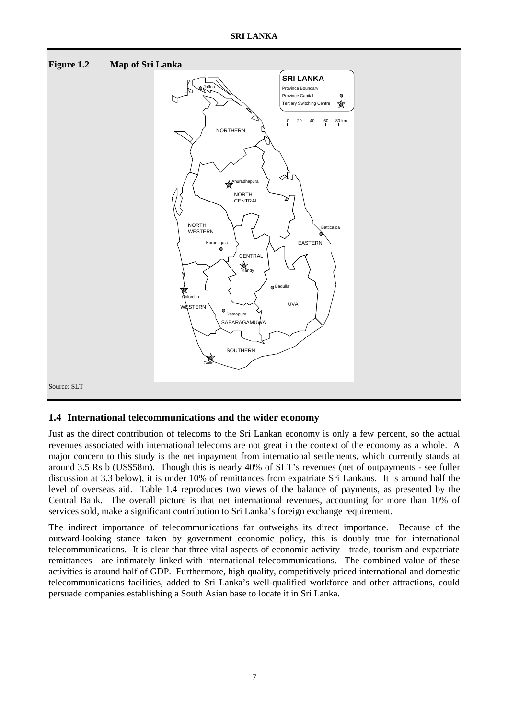

## **1.4 International telecommunications and the wider economy**

Just as the direct contribution of telecoms to the Sri Lankan economy is only a few percent, so the actual revenues associated with international telecoms are not great in the context of the economy as a whole. A major concern to this study is the net inpayment from international settlements, which currently stands at around 3.5 Rs b (US\$58m). Though this is nearly 40% of SLT's revenues (net of outpayments - see fuller discussion at 3.3 below), it is under 10% of remittances from expatriate Sri Lankans. It is around half the level of overseas aid. Table 1.4 reproduces two views of the balance of payments, as presented by the Central Bank. The overall picture is that net international revenues, accounting for more than 10% of services sold, make a significant contribution to Sri Lanka's foreign exchange requirement.

The indirect importance of telecommunications far outweighs its direct importance. Because of the outward-looking stance taken by government economic policy, this is doubly true for international telecommunications. It is clear that three vital aspects of economic activity—trade, tourism and expatriate remittances—are intimately linked with international telecommunications. The combined value of these activities is around half of GDP. Furthermore, high quality, competitively priced international and domestic telecommunications facilities, added to Sri Lanka's well-qualified workforce and other attractions, could persuade companies establishing a South Asian base to locate it in Sri Lanka.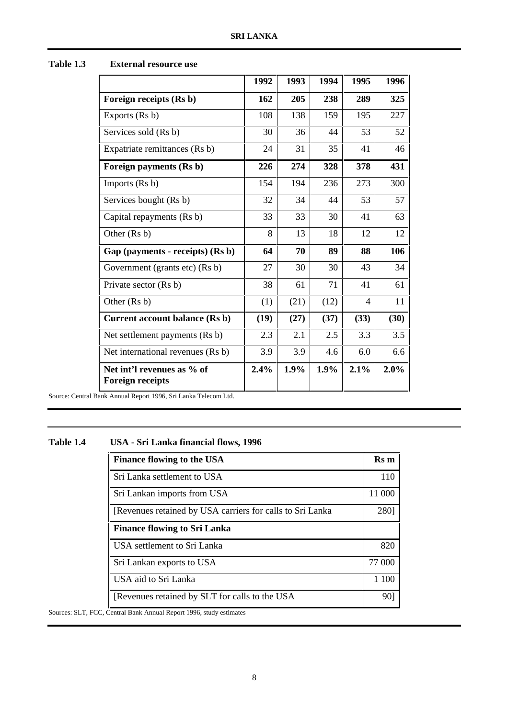|                                                       | 1992 | 1993 | 1994 | 1995                     | 1996 |
|-------------------------------------------------------|------|------|------|--------------------------|------|
| Foreign receipts (Rs b)                               | 162  | 205  | 238  | 289                      | 325  |
| Exports (Rs b)                                        | 108  | 138  | 159  | 195                      | 227  |
| Services sold (Rs b)                                  | 30   | 36   | 44   | 53                       | 52   |
| Expatriate remittances (Rs b)                         | 24   | 31   | 35   | 41                       | 46   |
| Foreign payments (Rs b)                               | 226  | 274  | 328  | 378                      | 431  |
| Imports $(Rs b)$                                      | 154  | 194  | 236  | 273                      | 300  |
| Services bought (Rs b)                                | 32   | 34   | 44   | 53                       | 57   |
| Capital repayments (Rs b)                             | 33   | 33   | 30   | 41                       | 63   |
| Other (Rs b)                                          | 8    | 13   | 18   | 12                       | 12   |
| Gap (payments - receipts) (Rs b)                      | 64   | 70   | 89   | 88                       | 106  |
| Government (grants etc) (Rs b)                        | 27   | 30   | 30   | 43                       | 34   |
| Private sector (Rs b)                                 | 38   | 61   | 71   | 41                       | 61   |
| Other (Rs b)                                          | (1)  | (21) | (12) | $\overline{\mathcal{A}}$ | 11   |
| Current account balance (Rs b)                        | (19) | (27) | (37) | (33)                     | (30) |
| Net settlement payments (Rs b)                        | 2.3  | 2.1  | 2.5  | 3.3                      | 3.5  |
| Net international revenues (Rs b)                     | 3.9  | 3.9  | 4.6  | 6.0                      | 6.6  |
| Net int'l revenues as % of<br><b>Foreign receipts</b> | 2.4% | 1.9% | 1.9% | 2.1%                     | 2.0% |

## **Table 1.3 External resource use**

Source: Central Bank Annual Report 1996, Sri Lanka Telecom Ltd.

## **Table 1.4 USA - Sri Lanka financial flows, 1996**

| <b>Finance flowing to the USA</b>                          | <b>Rs</b> m |
|------------------------------------------------------------|-------------|
| Sri Lanka settlement to USA                                | 110         |
| Sri Lankan imports from USA                                | 11 000      |
| [Revenues retained by USA carriers for calls to Sri Lanka] | 2801        |
| <b>Finance flowing to Sri Lanka</b>                        |             |
| USA settlement to Sri Lanka                                | 820         |
| Sri Lankan exports to USA                                  | 77 000      |
| USA aid to Sri Lanka                                       | 1 100       |
| [Revenues retained by SLT for calls to the USA]            | 90]         |
| Central Rank Annual Report 1996, study estimates           |             |

Sources: SLT, FCC, Central Bank Annual Report 1996, study estimates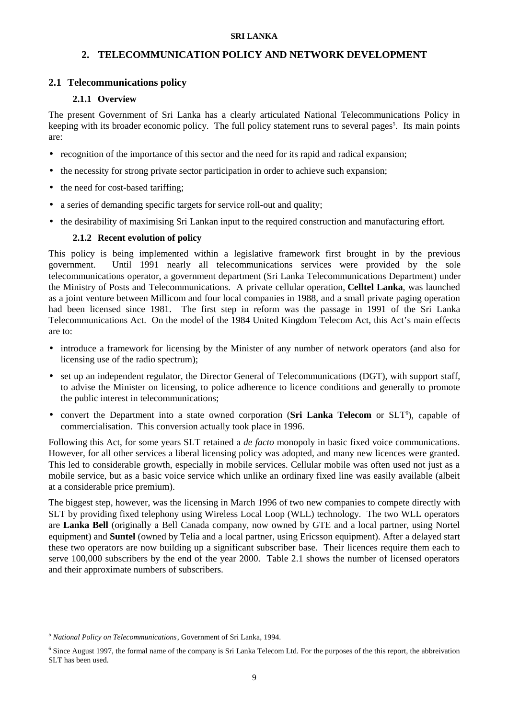## **2. TELECOMMUNICATION POLICY AND NETWORK DEVELOPMENT**

## **2.1 Telecommunications policy**

## **2.1.1 Overview**

The present Government of Sri Lanka has a clearly articulated National Telecommunications Policy in keeping with its broader economic policy. The full policy statement runs to several pages<sup>5</sup>. Its main points are:

- recognition of the importance of this sector and the need for its rapid and radical expansion;
- the necessity for strong private sector participation in order to achieve such expansion;
- the need for cost-based tariffing;
- a series of demanding specific targets for service roll-out and quality;
- the desirability of maximising Sri Lankan input to the required construction and manufacturing effort.

## **2.1.2 Recent evolution of policy**

This policy is being implemented within a legislative framework first brought in by the previous government. Until 1991 nearly all telecommunications services were provided by the sole telecommunications operator, a government department (Sri Lanka Telecommunications Department) under the Ministry of Posts and Telecommunications. A private cellular operation, **Celltel Lanka**, was launched as a joint venture between Millicom and four local companies in 1988, and a small private paging operation had been licensed since 1981. The first step in reform was the passage in 1991 of the Sri Lanka Telecommunications Act. On the model of the 1984 United Kingdom Telecom Act, this Act's main effects are to:

- introduce a framework for licensing by the Minister of any number of network operators (and also for licensing use of the radio spectrum);
- set up an independent regulator, the Director General of Telecommunications (DGT), with support staff, to advise the Minister on licensing, to police adherence to licence conditions and generally to promote the public interest in telecommunications;
- convert the Department into a state owned corporation (Sri Lanka Telecom or SLT<sup>6</sup>), capable of commercialisation. This conversion actually took place in 1996.

Following this Act, for some years SLT retained a *de facto* monopoly in basic fixed voice communications. However, for all other services a liberal licensing policy was adopted, and many new licences were granted. This led to considerable growth, especially in mobile services. Cellular mobile was often used not just as a mobile service, but as a basic voice service which unlike an ordinary fixed line was easily available (albeit at a considerable price premium).

The biggest step, however, was the licensing in March 1996 of two new companies to compete directly with SLT by providing fixed telephony using Wireless Local Loop (WLL) technology. The two WLL operators are **Lanka Bell** (originally a Bell Canada company, now owned by GTE and a local partner, using Nortel equipment) and **Suntel** (owned by Telia and a local partner, using Ericsson equipment). After a delayed start these two operators are now building up a significant subscriber base. Their licences require them each to serve 100,000 subscribers by the end of the year 2000. Table 2.1 shows the number of licensed operators and their approximate numbers of subscribers.

 $\overline{a}$ 

<sup>5</sup> *National Policy on Telecommunications*, Government of Sri Lanka, 1994.

<sup>&</sup>lt;sup>6</sup> Since August 1997, the formal name of the company is Sri Lanka Telecom Ltd. For the purposes of the this report, the abbreivation SLT has been used.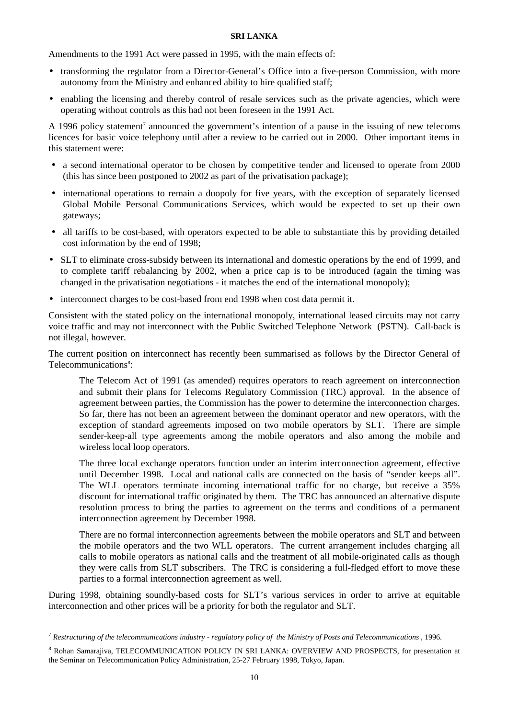Amendments to the 1991 Act were passed in 1995, with the main effects of:

- transforming the regulator from a Director-General's Office into a five-person Commission, with more autonomy from the Ministry and enhanced ability to hire qualified staff;
- enabling the licensing and thereby control of resale services such as the private agencies, which were operating without controls as this had not been foreseen in the 1991 Act.

A 1996 policy statement<sup>7</sup> announced the government's intention of a pause in the issuing of new telecoms licences for basic voice telephony until after a review to be carried out in 2000. Other important items in this statement were:

- a second international operator to be chosen by competitive tender and licensed to operate from 2000 (this has since been postponed to 2002 as part of the privatisation package);
- international operations to remain a duopoly for five years, with the exception of separately licensed Global Mobile Personal Communications Services, which would be expected to set up their own gateways;
- all tariffs to be cost-based, with operators expected to be able to substantiate this by providing detailed cost information by the end of 1998;
- SLT to eliminate cross-subsidy between its international and domestic operations by the end of 1999, and to complete tariff rebalancing by 2002, when a price cap is to be introduced (again the timing was changed in the privatisation negotiations - it matches the end of the international monopoly);
- interconnect charges to be cost-based from end 1998 when cost data permit it.

Consistent with the stated policy on the international monopoly, international leased circuits may not carry voice traffic and may not interconnect with the Public Switched Telephone Network (PSTN). Call-back is not illegal, however.

The current position on interconnect has recently been summarised as follows by the Director General of Telecommunications<sup>8</sup>:

The Telecom Act of 1991 (as amended) requires operators to reach agreement on interconnection and submit their plans for Telecoms Regulatory Commission (TRC) approval. In the absence of agreement between parties, the Commission has the power to determine the interconnection charges. So far, there has not been an agreement between the dominant operator and new operators, with the exception of standard agreements imposed on two mobile operators by SLT. There are simple sender-keep-all type agreements among the mobile operators and also among the mobile and wireless local loop operators.

The three local exchange operators function under an interim interconnection agreement, effective until December 1998. Local and national calls are connected on the basis of "sender keeps all". The WLL operators terminate incoming international traffic for no charge, but receive a 35% discount for international traffic originated by them. The TRC has announced an alternative dispute resolution process to bring the parties to agreement on the terms and conditions of a permanent interconnection agreement by December 1998.

There are no formal interconnection agreements between the mobile operators and SLT and between the mobile operators and the two WLL operators. The current arrangement includes charging all calls to mobile operators as national calls and the treatment of all mobile-originated calls as though they were calls from SLT subscribers. The TRC is considering a full-fledged effort to move these parties to a formal interconnection agreement as well.

During 1998, obtaining soundly-based costs for SLT's various services in order to arrive at equitable interconnection and other prices will be a priority for both the regulator and SLT.

 $\overline{a}$ 

<sup>7</sup> *Restructuring of the telecommunications industry - regulatory policy of the Ministry of Posts and Telecommunications* , 1996.

<sup>&</sup>lt;sup>8</sup> Rohan Samarajiva, TELECOMMUNICATION POLICY IN SRI LANKA: OVERVIEW AND PROSPECTS, for presentation at the Seminar on Telecommunication Policy Administration, 25-27 February 1998, Tokyo, Japan.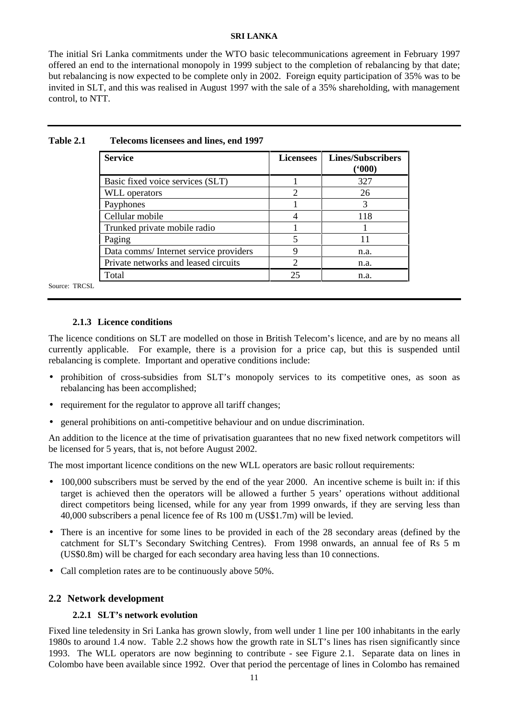The initial Sri Lanka commitments under the WTO basic telecommunications agreement in February 1997 offered an end to the international monopoly in 1999 subject to the completion of rebalancing by that date; but rebalancing is now expected to be complete only in 2002. Foreign equity participation of 35% was to be invited in SLT, and this was realised in August 1997 with the sale of a 35% shareholding, with management control, to NTT.

| <b>Service</b>                         | <b>Licensees</b> | <b>Lines/Subscribers</b><br>(600) |
|----------------------------------------|------------------|-----------------------------------|
| Basic fixed voice services (SLT)       |                  | 327                               |
| <b>WLL</b> operators                   | 2                | 26                                |
| Payphones                              |                  | 3                                 |
| Cellular mobile                        |                  | 118                               |
| Trunked private mobile radio           |                  |                                   |
| Paging                                 | 5                | 11                                |
| Data comms/ Internet service providers |                  | n.a.                              |
| Private networks and leased circuits   | 2                | n.a.                              |
| Total                                  | 25               | n.a.                              |

#### **Table 2.1 Telecoms licensees and lines, end 1997**

Source: TRCSL

## **2.1.3 Licence conditions**

The licence conditions on SLT are modelled on those in British Telecom's licence, and are by no means all currently applicable. For example, there is a provision for a price cap, but this is suspended until rebalancing is complete. Important and operative conditions include:

- prohibition of cross-subsidies from SLT's monopoly services to its competitive ones, as soon as rebalancing has been accomplished;
- requirement for the regulator to approve all tariff changes;
- general prohibitions on anti-competitive behaviour and on undue discrimination.

An addition to the licence at the time of privatisation guarantees that no new fixed network competitors will be licensed for 5 years, that is, not before August 2002.

The most important licence conditions on the new WLL operators are basic rollout requirements:

- 100,000 subscribers must be served by the end of the year 2000. An incentive scheme is built in: if this target is achieved then the operators will be allowed a further 5 years' operations without additional direct competitors being licensed, while for any year from 1999 onwards, if they are serving less than 40,000 subscribers a penal licence fee of Rs 100 m (US\$1.7m) will be levied.
- There is an incentive for some lines to be provided in each of the 28 secondary areas (defined by the catchment for SLT's Secondary Switching Centres). From 1998 onwards, an annual fee of Rs 5 m (US\$0.8m) will be charged for each secondary area having less than 10 connections.
- Call completion rates are to be continuously above 50%.

## **2.2 Network development**

## **2.2.1 SLT's network evolution**

Fixed line teledensity in Sri Lanka has grown slowly, from well under 1 line per 100 inhabitants in the early 1980s to around 1.4 now. Table 2.2 shows how the growth rate in SLT's lines has risen significantly since 1993. The WLL operators are now beginning to contribute - see Figure 2.1. Separate data on lines in Colombo have been available since 1992. Over that period the percentage of lines in Colombo has remained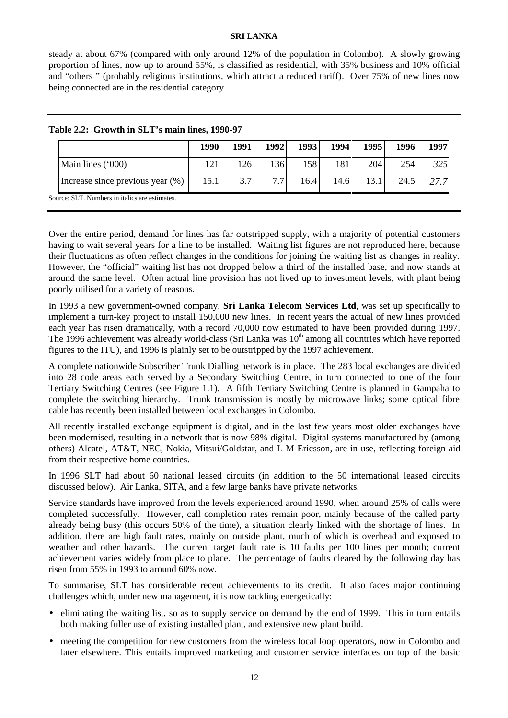steady at about 67% (compared with only around 12% of the population in Colombo). A slowly growing proportion of lines, now up to around 55%, is classified as residential, with 35% business and 10% official and "others " (probably religious institutions, which attract a reduced tariff). Over 75% of new lines now being connected are in the residential category.

|                                                | 1990 | 1991 | 19921 | 1993 | 1994 | 1995 <sup> </sup> | 1996 | 1997 l |
|------------------------------------------------|------|------|-------|------|------|-------------------|------|--------|
| Main lines ('000)                              | 121  | 126  | 136 I | 158  | 181  | 204               | 254  | 325    |
| Increase since previous year $(\%)$            | 15.1 | 3.7  | 77    | 16.4 | 14.6 | 13.1              | 24.5 | 277    |
| Source: SLT. Numbers in italics are estimates. |      |      |       |      |      |                   |      |        |

#### **Table 2.2: Growth in SLT's main lines, 1990-97**

Over the entire period, demand for lines has far outstripped supply, with a majority of potential customers having to wait several years for a line to be installed. Waiting list figures are not reproduced here, because their fluctuations as often reflect changes in the conditions for joining the waiting list as changes in reality. However, the "official" waiting list has not dropped below a third of the installed base, and now stands at around the same level. Often actual line provision has not lived up to investment levels, with plant being poorly utilised for a variety of reasons.

In 1993 a new government-owned company, **Sri Lanka Telecom Services Ltd**, was set up specifically to implement a turn-key project to install 150,000 new lines. In recent years the actual of new lines provided each year has risen dramatically, with a record 70,000 now estimated to have been provided during 1997. The 1996 achievement was already world-class (Sri Lanka was  $10<sup>th</sup>$  among all countries which have reported figures to the ITU), and 1996 is plainly set to be outstripped by the 1997 achievement.

A complete nationwide Subscriber Trunk Dialling network is in place. The 283 local exchanges are divided into 28 code areas each served by a Secondary Switching Centre, in turn connected to one of the four Tertiary Switching Centres (see Figure 1.1). A fifth Tertiary Switching Centre is planned in Gampaha to complete the switching hierarchy. Trunk transmission is mostly by microwave links; some optical fibre cable has recently been installed between local exchanges in Colombo.

All recently installed exchange equipment is digital, and in the last few years most older exchanges have been modernised, resulting in a network that is now 98% digital. Digital systems manufactured by (among others) Alcatel, AT&T, NEC, Nokia, Mitsui/Goldstar, and L M Ericsson, are in use, reflecting foreign aid from their respective home countries.

In 1996 SLT had about 60 national leased circuits (in addition to the 50 international leased circuits discussed below). Air Lanka, SITA, and a few large banks have private networks.

Service standards have improved from the levels experienced around 1990, when around 25% of calls were completed successfully. However, call completion rates remain poor, mainly because of the called party already being busy (this occurs 50% of the time), a situation clearly linked with the shortage of lines. In addition, there are high fault rates, mainly on outside plant, much of which is overhead and exposed to weather and other hazards. The current target fault rate is 10 faults per 100 lines per month; current achievement varies widely from place to place. The percentage of faults cleared by the following day has risen from 55% in 1993 to around 60% now.

To summarise, SLT has considerable recent achievements to its credit. It also faces major continuing challenges which, under new management, it is now tackling energetically:

- eliminating the waiting list, so as to supply service on demand by the end of 1999. This in turn entails both making fuller use of existing installed plant, and extensive new plant build.
- meeting the competition for new customers from the wireless local loop operators, now in Colombo and later elsewhere. This entails improved marketing and customer service interfaces on top of the basic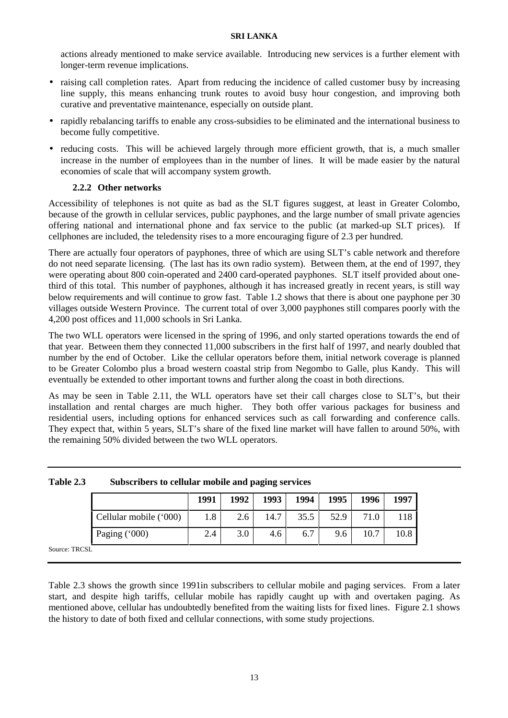actions already mentioned to make service available. Introducing new services is a further element with longer-term revenue implications.

- raising call completion rates. Apart from reducing the incidence of called customer busy by increasing line supply, this means enhancing trunk routes to avoid busy hour congestion, and improving both curative and preventative maintenance, especially on outside plant.
- rapidly rebalancing tariffs to enable any cross-subsidies to be eliminated and the international business to become fully competitive.
- reducing costs. This will be achieved largely through more efficient growth, that is, a much smaller increase in the number of employees than in the number of lines. It will be made easier by the natural economies of scale that will accompany system growth.

## **2.2.2 Other networks**

Accessibility of telephones is not quite as bad as the SLT figures suggest, at least in Greater Colombo, because of the growth in cellular services, public payphones, and the large number of small private agencies offering national and international phone and fax service to the public (at marked-up SLT prices). If cellphones are included, the teledensity rises to a more encouraging figure of 2.3 per hundred.

There are actually four operators of payphones, three of which are using SLT's cable network and therefore do not need separate licensing. (The last has its own radio system). Between them, at the end of 1997, they were operating about 800 coin-operated and 2400 card-operated payphones. SLT itself provided about onethird of this total. This number of payphones, although it has increased greatly in recent years, is still way below requirements and will continue to grow fast. Table 1.2 shows that there is about one payphone per 30 villages outside Western Province. The current total of over 3,000 payphones still compares poorly with the 4,200 post offices and 11,000 schools in Sri Lanka.

The two WLL operators were licensed in the spring of 1996, and only started operations towards the end of that year. Between them they connected 11,000 subscribers in the first half of 1997, and nearly doubled that number by the end of October. Like the cellular operators before them, initial network coverage is planned to be Greater Colombo plus a broad western coastal strip from Negombo to Galle, plus Kandy. This will eventually be extended to other important towns and further along the coast in both directions.

As may be seen in Table 2.11, the WLL operators have set their call charges close to SLT's, but their installation and rental charges are much higher. They both offer various packages for business and residential users, including options for enhanced services such as call forwarding and conference calls. They expect that, within 5 years, SLT's share of the fixed line market will have fallen to around 50%, with the remaining 50% divided between the two WLL operators.

|     |                        | 1991 | 1992 | 1993 | 1994 | 1995 | 1996 | 1997 |
|-----|------------------------|------|------|------|------|------|------|------|
|     | Cellular mobile ('000) | 1.8  | 2.6  | 14.7 | 35.5 | 52.9 | 71.0 | 18   |
|     | Paging ('000)          | 2.4  | 3.0  | 4.6  | 6.7  | 9.6  | 10.7 | 10.8 |
| 'SL |                        |      |      |      |      |      |      |      |

**Table 2.3 Subscribers to cellular mobile and paging services**

Source: TRC

Table 2.3 shows the growth since 1991in subscribers to cellular mobile and paging services. From a later start, and despite high tariffs, cellular mobile has rapidly caught up with and overtaken paging. As mentioned above, cellular has undoubtedly benefited from the waiting lists for fixed lines. Figure 2.1 shows the history to date of both fixed and cellular connections, with some study projections.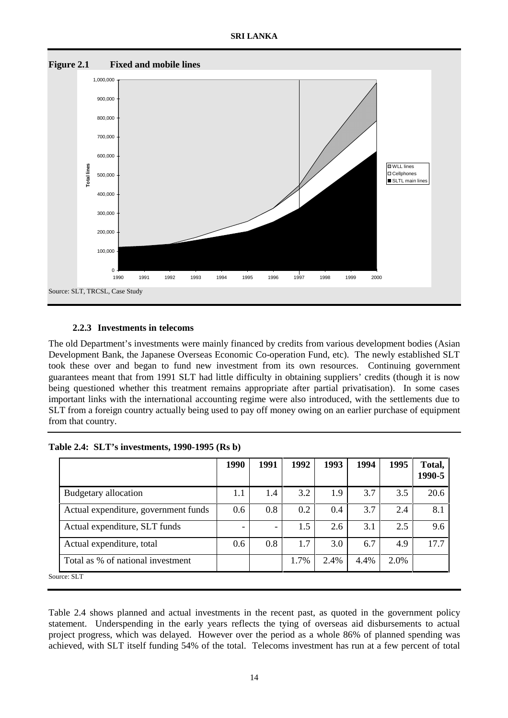

## **2.2.3 Investments in telecoms**

The old Department's investments were mainly financed by credits from various development bodies (Asian Development Bank, the Japanese Overseas Economic Co-operation Fund, etc). The newly established SLT took these over and began to fund new investment from its own resources. Continuing government guarantees meant that from 1991 SLT had little difficulty in obtaining suppliers' credits (though it is now being questioned whether this treatment remains appropriate after partial privatisation). In some cases important links with the international accounting regime were also introduced, with the settlements due to SLT from a foreign country actually being used to pay off money owing on an earlier purchase of equipment from that country.

|  | Table 2.4: SLT's investments, 1990-1995 (Rs b) |  |
|--|------------------------------------------------|--|
|--|------------------------------------------------|--|

|                                      | 1990 | 1991 | 1992 | 1993 | 1994 | 1995 | Total,<br>1990-5 |
|--------------------------------------|------|------|------|------|------|------|------------------|
| Budgetary allocation                 | 1.1  | 1.4  | 3.2  | 1.9  | 3.7  | 3.5  | 20.6             |
| Actual expenditure, government funds | 0.6  | 0.8  | 0.2  | 0.4  | 3.7  | 2.4  | 8.1              |
| Actual expenditure, SLT funds        | -    | -    | 1.5  | 2.6  | 3.1  | 2.5  | 9.6              |
| Actual expenditure, total            | 0.6  | 0.8  | 1.7  | 3.0  | 6.7  | 4.9  | 17.7             |
| Total as % of national investment    |      |      | 1.7% | 2.4% | 4.4% | 2.0% |                  |
| Source: SLT                          |      |      |      |      |      |      |                  |

Table 2.4 shows planned and actual investments in the recent past, as quoted in the government policy statement. Underspending in the early years reflects the tying of overseas aid disbursements to actual project progress, which was delayed. However over the period as a whole 86% of planned spending was achieved, with SLT itself funding 54% of the total. Telecoms investment has run at a few percent of total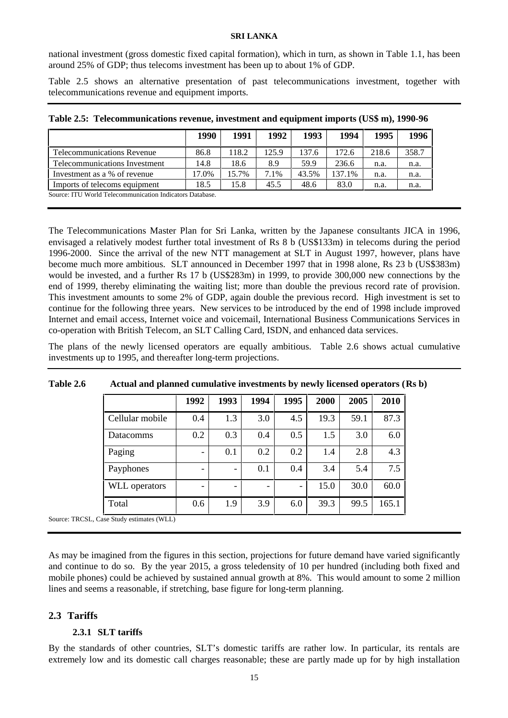national investment (gross domestic fixed capital formation), which in turn, as shown in Table 1.1, has been around 25% of GDP; thus telecoms investment has been up to about 1% of GDP.

Table 2.5 shows an alternative presentation of past telecommunications investment, together with telecommunications revenue and equipment imports.

|                                                          | 1990  | 1991  | 1992  | 1993  | 1994   | 1995  | 1996  |
|----------------------------------------------------------|-------|-------|-------|-------|--------|-------|-------|
| Telecommunications Revenue                               | 86.8  | 118.2 | 125.9 | 137.6 | 172.6  | 218.6 | 358.7 |
| Telecommunications Investment                            | 14.8  | 18.6  | 8.9   | 59.9  | 236.6  | n.a.  | n.a.  |
| Investment as a % of revenue                             | 17.0% | 15.7% | 7.1%  | 43.5% | 137.1% | n.a.  | n.a.  |
| Imports of telecoms equipment                            | 18.5  | 15.8  | 45.5  | 48.6  | 83.0   | n.a.  | n.a.  |
| Source: ITU World Telecommunication Indicators Database. |       |       |       |       |        |       |       |

|  |  |  |  | Table 2.5: Telecommunications revenue, investment and equipment imports (US\$ m), 1990-96 |
|--|--|--|--|-------------------------------------------------------------------------------------------|
|--|--|--|--|-------------------------------------------------------------------------------------------|

The Telecommunications Master Plan for Sri Lanka, written by the Japanese consultants JICA in 1996, envisaged a relatively modest further total investment of Rs 8 b (US\$133m) in telecoms during the period 1996-2000. Since the arrival of the new NTT management at SLT in August 1997, however, plans have become much more ambitious. SLT announced in December 1997 that in 1998 alone, Rs 23 b (US\$383m) would be invested, and a further Rs 17 b (US\$283m) in 1999, to provide 300,000 new connections by the end of 1999, thereby eliminating the waiting list; more than double the previous record rate of provision. This investment amounts to some 2% of GDP, again double the previous record. High investment is set to continue for the following three years. New services to be introduced by the end of 1998 include improved Internet and email access, Internet voice and voicemail, International Business Communications Services in co-operation with British Telecom, an SLT Calling Card, ISDN, and enhanced data services.

The plans of the newly licensed operators are equally ambitious. Table 2.6 shows actual cumulative investments up to 1995, and thereafter long-term projections.

|                 | 1992 | 1993 | 1994 | 1995                     | 2000 | 2005 | 2010  |
|-----------------|------|------|------|--------------------------|------|------|-------|
| Cellular mobile | 0.4  | 1.3  | 3.0  | 4.5                      | 19.3 | 59.1 | 87.3  |
| Datacomms       | 0.2  | 0.3  | 0.4  | 0.5                      | 1.5  | 3.0  | 6.0   |
| Paging          |      | 0.1  | 0.2  | 0.2                      | 1.4  | 2.8  | 4.3   |
| Payphones       |      |      | 0.1  | 0.4                      | 3.4  | 5.4  | 7.5   |
| WLL operators   |      |      |      | $\overline{\phantom{a}}$ | 15.0 | 30.0 | 60.0  |
| Total           | 0.6  | 1.9  | 3.9  | 6.0                      | 39.3 | 99.5 | 165.1 |

#### **Table 2.6 Actual and planned cumulative investments by newly licensed operators (Rs b)**

Source: TRCSL, Case Study estimates (WLL)

As may be imagined from the figures in this section, projections for future demand have varied significantly and continue to do so. By the year 2015, a gross teledensity of 10 per hundred (including both fixed and mobile phones) could be achieved by sustained annual growth at 8%. This would amount to some 2 million lines and seems a reasonable, if stretching, base figure for long-term planning.

## **2.3 Tariffs**

## **2.3.1 SLT tariffs**

By the standards of other countries, SLT's domestic tariffs are rather low. In particular, its rentals are extremely low and its domestic call charges reasonable; these are partly made up for by high installation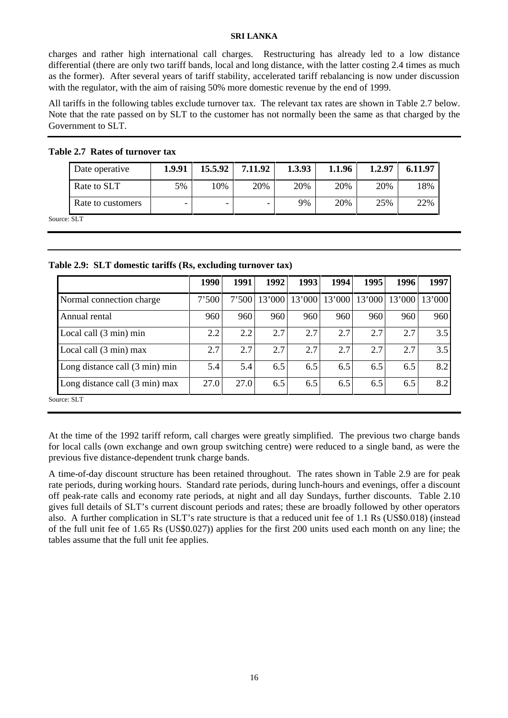charges and rather high international call charges. Restructuring has already led to a low distance differential (there are only two tariff bands, local and long distance, with the latter costing 2.4 times as much as the former). After several years of tariff stability, accelerated tariff rebalancing is now under discussion with the regulator, with the aim of raising 50% more domestic revenue by the end of 1999.

All tariffs in the following tables exclude turnover tax. The relevant tax rates are shown in Table 2.7 below. Note that the rate passed on by SLT to the customer has not normally been the same as that charged by the Government to SLT.

| Date operative    | 1.9.91 | 15.5.92 | 7.11.92 | 1.3.93 | 1.1.96 | 1.2.97 | 6.11.97 |
|-------------------|--------|---------|---------|--------|--------|--------|---------|
| Rate to SLT       | 5%     | 10%     | 20%     | 20%    | 20%    | 20%    | 18%     |
| Rate to customers | -      | -       | -       | 9%     | 20%    | 25%    | 22%     |

**Table 2.7 Rates of turnover tax**

Source: SLT

| Table 2.9: SLT domestic tariffs (Rs, excluding turnover tax) |  |  |  |
|--------------------------------------------------------------|--|--|--|
|--------------------------------------------------------------|--|--|--|

| 1990  | 1991 | 1992 | 1993          | 1994   | 1995 | 1996   | 1997             |
|-------|------|------|---------------|--------|------|--------|------------------|
| 7'500 |      |      | 13'000        |        |      |        | 13'000           |
| 960   | 960  | 960  | 960           | 960    | 960  | 960    | 960              |
| 2.2   | 2.2  | 2.7  | 2.7           | 2.7    | 2.7  | 2.7    | 3.5              |
| 2.7   | 2.7  | 2.7  | 2.7           | 2.7    | 2.7  | 2.7    | 3.5              |
| 5.4   | 5.4  | 6.5  | 6.5           | 6.5    | 6.5  | 6.5    | 8.2              |
| 27.0  |      | 6.5  | 6.5           | 6.5    | 6.5  | 6.5    | 8.2              |
|       |      |      | 7'500<br>27.0 | 13'000 |      | 13'000 | 13'000<br>13'000 |

At the time of the 1992 tariff reform, call charges were greatly simplified. The previous two charge bands for local calls (own exchange and own group switching centre) were reduced to a single band, as were the previous five distance-dependent trunk charge bands.

A time-of-day discount structure has been retained throughout. The rates shown in Table 2.9 are for peak rate periods, during working hours. Standard rate periods, during lunch-hours and evenings, offer a discount off peak-rate calls and economy rate periods, at night and all day Sundays, further discounts. Table 2.10 gives full details of SLT's current discount periods and rates; these are broadly followed by other operators also. A further complication in SLT's rate structure is that a reduced unit fee of 1.1 Rs (US\$0.018) (instead of the full unit fee of 1.65 Rs (US\$0.027)) applies for the first 200 units used each month on any line; the tables assume that the full unit fee applies.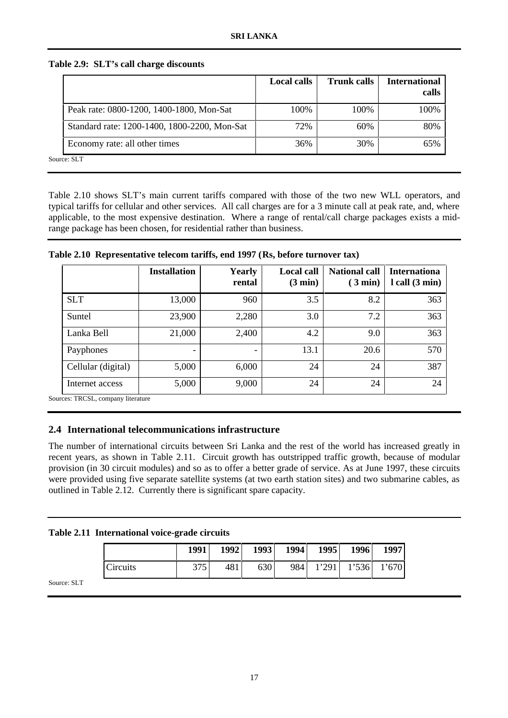|                                              | <b>Local calls</b> | <b>Trunk calls</b> | <b>International</b><br>calls |
|----------------------------------------------|--------------------|--------------------|-------------------------------|
| Peak rate: 0800-1200, 1400-1800, Mon-Sat     | 100%               | 100%               | 100%                          |
| Standard rate: 1200-1400, 1800-2200, Mon-Sat | 72%                | 60%                | 80%                           |
| Economy rate: all other times                | 36%                | 30%                | 65%                           |
| Source: SLT                                  |                    |                    |                               |

## **Table 2.9: SLT's call charge discounts**

Table 2.10 shows SLT's main current tariffs compared with those of the two new WLL operators, and typical tariffs for cellular and other services. All call charges are for a 3 minute call at peak rate, and, where applicable, to the most expensive destination. Where a range of rental/call charge packages exists a midrange package has been chosen, for residential rather than business.

|  |  |  |  | Table 2.10 Representative telecom tariffs, end 1997 (Rs, before turnover tax) |
|--|--|--|--|-------------------------------------------------------------------------------|
|--|--|--|--|-------------------------------------------------------------------------------|

|                                                            | <b>Installation</b> | <b>Yearly</b><br>rental | <b>Local call</b><br>$(3 \text{ min})$ | <b>National call</b><br>$(3 \text{ min})$ | <b>Internationa</b><br>$l$ call $(3 min)$ |
|------------------------------------------------------------|---------------------|-------------------------|----------------------------------------|-------------------------------------------|-------------------------------------------|
| <b>SLT</b>                                                 | 13,000              | 960                     | 3.5                                    | 8.2                                       | 363                                       |
| Suntel                                                     | 23,900              | 2,280                   | 3.0                                    | 7.2                                       | 363                                       |
| Lanka Bell                                                 | 21,000              | 2,400                   | 4.2                                    | 9.0                                       | 363                                       |
| Payphones                                                  | -                   |                         | 13.1                                   | 20.6                                      | 570                                       |
| Cellular (digital)                                         | 5,000               | 6,000                   | 24                                     | 24                                        | 387                                       |
| Internet access<br>$\sim$ $\sim$ $\sim$ $\sim$<br>$\cdots$ | 5,000               | 9,000                   | 24                                     | 24                                        | 24                                        |

Sources: TRCSL, company literature

## **2.4 International telecommunications infrastructure**

The number of international circuits between Sri Lanka and the rest of the world has increased greatly in recent years, as shown in Table 2.11. Circuit growth has outstripped traffic growth, because of modular provision (in 30 circuit modules) and so as to offer a better grade of service. As at June 1997, these circuits were provided using five separate satellite systems (at two earth station sites) and two submarine cables, as outlined in Table 2.12. Currently there is significant spare capacity.

| Table 2.11 International voice-grade circuits |  |  |  |  |
|-----------------------------------------------|--|--|--|--|
|-----------------------------------------------|--|--|--|--|

|          | 1991 | 1992 | 1993 | 1994 | 1995  | 1996  | 1997  |
|----------|------|------|------|------|-------|-------|-------|
| Circuits | 275  | 481  | 630  | 984  | 1'291 | 1'536 | 1'670 |

Source: SLT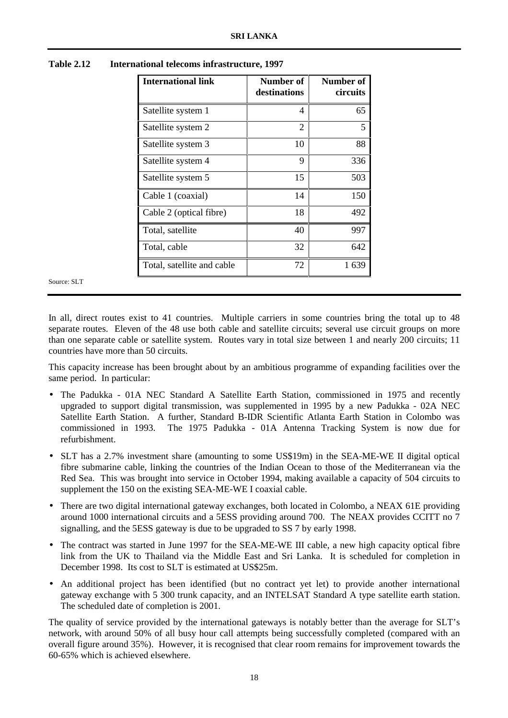| <b>International link</b>  | Number of<br>destinations | Number of<br>circuits |
|----------------------------|---------------------------|-----------------------|
| Satellite system 1         | 4                         | 65                    |
| Satellite system 2         | 2                         | 5                     |
| Satellite system 3         | 10                        | 88                    |
| Satellite system 4         | 9                         | 336                   |
| Satellite system 5         | 15                        | 503                   |
| Cable 1 (coaxial)          | 14                        | 150                   |
| Cable 2 (optical fibre)    | 18                        | 492                   |
| Total, satellite           | 40                        | 997                   |
| Total, cable               | 32                        | 642                   |
| Total, satellite and cable | 72                        | 1639                  |

**Table 2.12 International telecoms infrastructure, 1997**

Source: SLT

In all, direct routes exist to 41 countries. Multiple carriers in some countries bring the total up to 48 separate routes. Eleven of the 48 use both cable and satellite circuits; several use circuit groups on more than one separate cable or satellite system. Routes vary in total size between 1 and nearly 200 circuits; 11 countries have more than 50 circuits.

This capacity increase has been brought about by an ambitious programme of expanding facilities over the same period. In particular:

- The Padukka 01A NEC Standard A Satellite Earth Station, commissioned in 1975 and recently upgraded to support digital transmission, was supplemented in 1995 by a new Padukka - 02A NEC Satellite Earth Station. A further, Standard B-IDR Scientific Atlanta Earth Station in Colombo was commissioned in 1993. The 1975 Padukka - 01A Antenna Tracking System is now due for refurbishment.
- SLT has a 2.7% investment share (amounting to some US\$19m) in the SEA-ME-WE II digital optical fibre submarine cable, linking the countries of the Indian Ocean to those of the Mediterranean via the Red Sea. This was brought into service in October 1994, making available a capacity of 504 circuits to supplement the 150 on the existing SEA-ME-WE I coaxial cable.
- There are two digital international gateway exchanges, both located in Colombo, a NEAX 61E providing around 1000 international circuits and a 5ESS providing around 700. The NEAX provides CCITT no 7 signalling, and the 5ESS gateway is due to be upgraded to SS 7 by early 1998.
- The contract was started in June 1997 for the SEA-ME-WE III cable, a new high capacity optical fibre link from the UK to Thailand via the Middle East and Sri Lanka. It is scheduled for completion in December 1998. Its cost to SLT is estimated at US\$25m.
- An additional project has been identified (but no contract yet let) to provide another international gateway exchange with 5 300 trunk capacity, and an INTELSAT Standard A type satellite earth station. The scheduled date of completion is 2001.

The quality of service provided by the international gateways is notably better than the average for SLT's network, with around 50% of all busy hour call attempts being successfully completed (compared with an overall figure around 35%). However, it is recognised that clear room remains for improvement towards the 60-65% which is achieved elsewhere.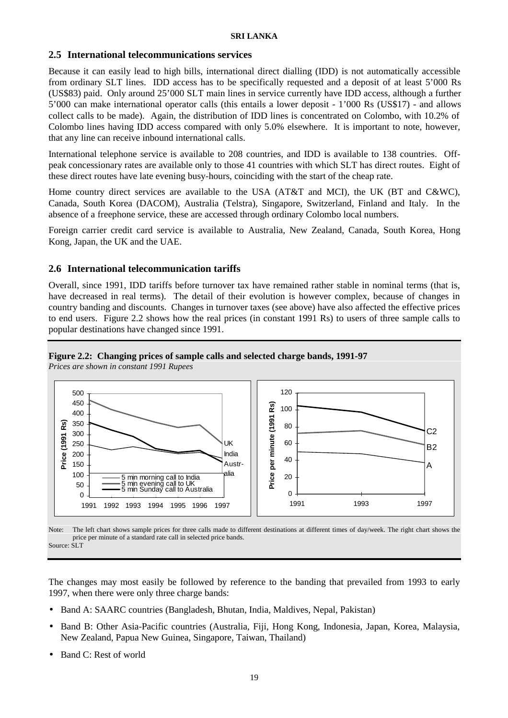## **2.5 International telecommunications services**

Because it can easily lead to high bills, international direct dialling (IDD) is not automatically accessible from ordinary SLT lines. IDD access has to be specifically requested and a deposit of at least 5'000 Rs (US\$83) paid. Only around 25'000 SLT main lines in service currently have IDD access, although a further 5'000 can make international operator calls (this entails a lower deposit - 1'000 Rs (US\$17) - and allows collect calls to be made). Again, the distribution of IDD lines is concentrated on Colombo, with 10.2% of Colombo lines having IDD access compared with only 5.0% elsewhere. It is important to note, however, that any line can receive inbound international calls.

International telephone service is available to 208 countries, and IDD is available to 138 countries. Offpeak concessionary rates are available only to those 41 countries with which SLT has direct routes. Eight of these direct routes have late evening busy-hours, coinciding with the start of the cheap rate.

Home country direct services are available to the USA (AT&T and MCI), the UK (BT and C&WC), Canada, South Korea (DACOM), Australia (Telstra), Singapore, Switzerland, Finland and Italy. In the absence of a freephone service, these are accessed through ordinary Colombo local numbers.

Foreign carrier credit card service is available to Australia, New Zealand, Canada, South Korea, Hong Kong, Japan, the UK and the UAE.

## **2.6 International telecommunication tariffs**

Overall, since 1991, IDD tariffs before turnover tax have remained rather stable in nominal terms (that is, have decreased in real terms). The detail of their evolution is however complex, because of changes in country banding and discounts. Changes in turnover taxes (see above) have also affected the effective prices to end users. Figure 2.2 shows how the real prices (in constant 1991 Rs) to users of three sample calls to popular destinations have changed since 1991.

## **Figure 2.2: Changing prices of sample calls and selected charge bands, 1991-97**

*Prices are shown in constant 1991 Rupees*



Note: The left chart shows sample prices for three calls made to different destinations at different times of day/week. The right chart shows the price per minute of a standard rate call in selected price bands. Source: SLT

The changes may most easily be followed by reference to the banding that prevailed from 1993 to early 1997, when there were only three charge bands:

- Band A: SAARC countries (Bangladesh, Bhutan, India, Maldives, Nepal, Pakistan)
- Band B: Other Asia-Pacific countries (Australia, Fiji, Hong Kong, Indonesia, Japan, Korea, Malaysia, New Zealand, Papua New Guinea, Singapore, Taiwan, Thailand)
- Band C: Rest of world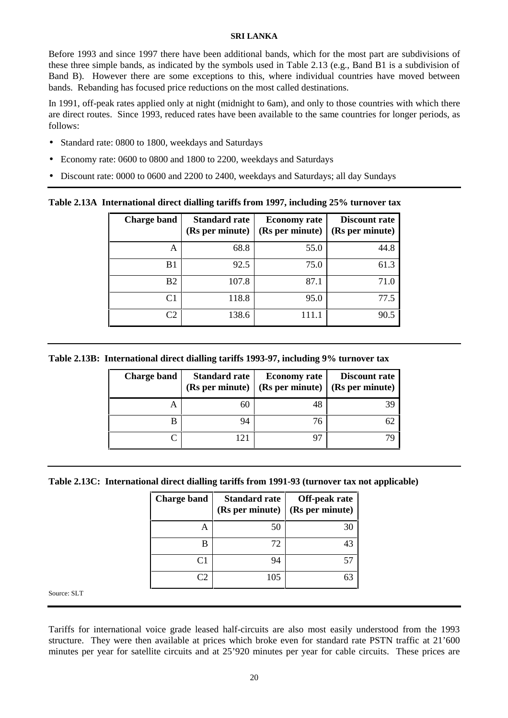Before 1993 and since 1997 there have been additional bands, which for the most part are subdivisions of these three simple bands, as indicated by the symbols used in Table 2.13 (e.g., Band B1 is a subdivision of Band B). However there are some exceptions to this, where individual countries have moved between bands. Rebanding has focused price reductions on the most called destinations.

In 1991, off-peak rates applied only at night (midnight to 6am), and only to those countries with which there are direct routes. Since 1993, reduced rates have been available to the same countries for longer periods, as follows:

- Standard rate: 0800 to 1800, weekdays and Saturdays
- Economy rate: 0600 to 0800 and 1800 to 2200, weekdays and Saturdays
- Discount rate: 0000 to 0600 and 2200 to 2400, weekdays and Saturdays; all day Sundays

**Table 2.13A International direct dialling tariffs from 1997, including 25% turnover tax**

| <b>Charge band</b> | <b>Standard rate</b><br>(Rs per minute) | <b>Economy</b> rate<br>(Rs per minute) | <b>Discount rate</b><br>(Rs per minute) |
|--------------------|-----------------------------------------|----------------------------------------|-----------------------------------------|
| Α                  | 68.8                                    | 55.0                                   | 44.8                                    |
| B1                 | 92.5                                    | 75.0                                   | 61.3                                    |
| B <sub>2</sub>     | 107.8                                   | 87.1                                   | 71.0                                    |
| C1                 | 118.8                                   | 95.0                                   | 77.5                                    |
| C2                 | 138.6                                   |                                        | 90.5                                    |

**Table 2.13B: International direct dialling tariffs 1993-97, including 9% turnover tax**

| Charge band | <b>Standard rate</b><br>(Rs per minute) | <b>Economy</b> rate<br>(Rs per minute) | <b>Discount rate</b><br>(Rs per minute) |
|-------------|-----------------------------------------|----------------------------------------|-----------------------------------------|
| A           | 6C                                      |                                        |                                         |
| R           | 94                                      | 76                                     |                                         |
|             | 121                                     |                                        |                                         |

**Table 2.13C: International direct dialling tariffs from 1991-93 (turnover tax not applicable)**

| <b>Charge band</b> | <b>Standard rate</b><br>(Rs per minute) | Off-peak rate<br>(Rs per minute) |
|--------------------|-----------------------------------------|----------------------------------|
| А                  | 50                                      |                                  |
| В                  | 72                                      |                                  |
| C <sub>1</sub>     | 94                                      | 51                               |
|                    | 105                                     |                                  |

Source: SLT

Tariffs for international voice grade leased half-circuits are also most easily understood from the 1993 structure. They were then available at prices which broke even for standard rate PSTN traffic at 21'600 minutes per year for satellite circuits and at 25'920 minutes per year for cable circuits. These prices are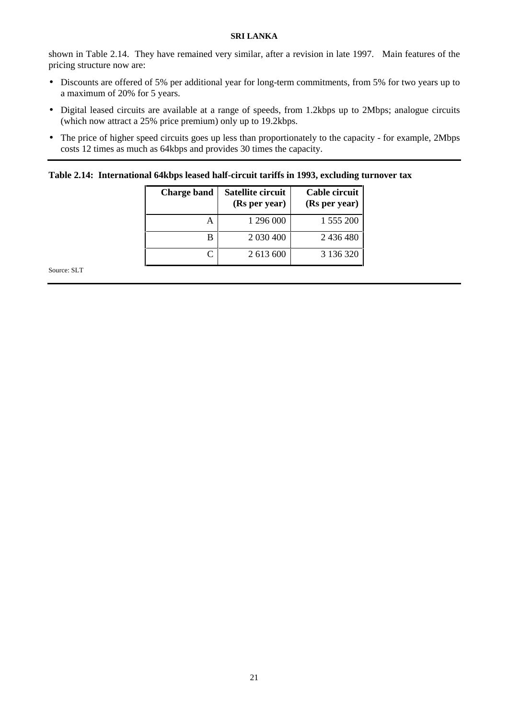shown in Table 2.14. They have remained very similar, after a revision in late 1997. Main features of the pricing structure now are:

- Discounts are offered of 5% per additional year for long-term commitments, from 5% for two years up to a maximum of 20% for 5 years.
- Digital leased circuits are available at a range of speeds, from 1.2kbps up to 2Mbps; analogue circuits (which now attract a 25% price premium) only up to 19.2kbps.
- The price of higher speed circuits goes up less than proportionately to the capacity for example, 2Mbps costs 12 times as much as 64kbps and provides 30 times the capacity.

## **Table 2.14: International 64kbps leased half-circuit tariffs in 1993, excluding turnover tax**

| <b>Charge band</b> | Satellite circuit<br>(Rs per year) | Cable circuit<br>(Rs per year) |
|--------------------|------------------------------------|--------------------------------|
| А                  | 1 296 000                          | 1 555 200                      |
| В                  | 2 030 400                          | 2 436 480                      |
|                    | 2 613 600                          | 3 136 320                      |

Source: SLT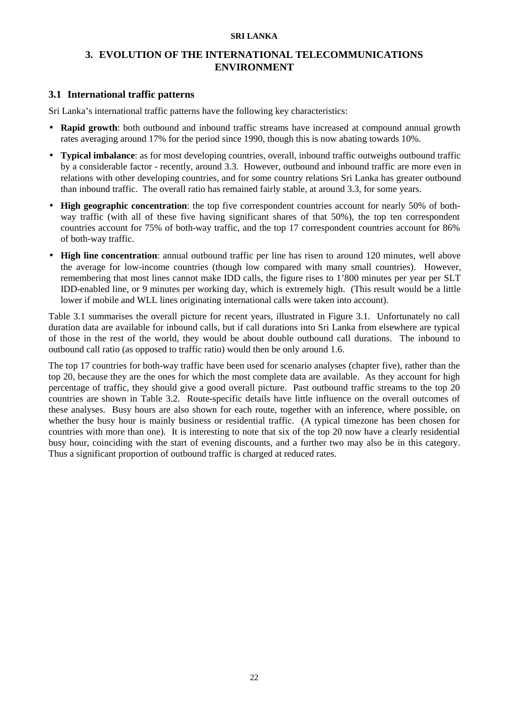## **3. EVOLUTION OF THE INTERNATIONAL TELECOMMUNICATIONS ENVIRONMENT**

## **3.1 International traffic patterns**

Sri Lanka's international traffic patterns have the following key characteristics:

- **Rapid growth**: both outbound and inbound traffic streams have increased at compound annual growth rates averaging around 17% for the period since 1990, though this is now abating towards 10%.
- **Typical imbalance**: as for most developing countries, overall, inbound traffic outweighs outbound traffic by a considerable factor - recently, around 3.3. However, outbound and inbound traffic are more even in relations with other developing countries, and for some country relations Sri Lanka has greater outbound than inbound traffic. The overall ratio has remained fairly stable, at around 3.3, for some years.
- **High geographic concentration**: the top five correspondent countries account for nearly 50% of bothway traffic (with all of these five having significant shares of that 50%), the top ten correspondent countries account for 75% of both-way traffic, and the top 17 correspondent countries account for 86% of both-way traffic.
- **High line concentration**: annual outbound traffic per line has risen to around 120 minutes, well above the average for low-income countries (though low compared with many small countries). However, remembering that most lines cannot make IDD calls, the figure rises to 1'800 minutes per year per SLT IDD-enabled line, or 9 minutes per working day, which is extremely high. (This result would be a little lower if mobile and WLL lines originating international calls were taken into account).

Table 3.1 summarises the overall picture for recent years, illustrated in Figure 3.1. Unfortunately no call duration data are available for inbound calls, but if call durations into Sri Lanka from elsewhere are typical of those in the rest of the world, they would be about double outbound call durations. The inbound to outbound call ratio (as opposed to traffic ratio) would then be only around 1.6.

The top 17 countries for both-way traffic have been used for scenario analyses (chapter five), rather than the top 20, because they are the ones for which the most complete data are available. As they account for high percentage of traffic, they should give a good overall picture. Past outbound traffic streams to the top 20 countries are shown in Table 3.2. Route-specific details have little influence on the overall outcomes of these analyses. Busy hours are also shown for each route, together with an inference, where possible, on whether the busy hour is mainly business or residential traffic. (A typical timezone has been chosen for countries with more than one). It is interesting to note that six of the top 20 now have a clearly residential busy hour, coinciding with the start of evening discounts, and a further two may also be in this category. Thus a significant proportion of outbound traffic is charged at reduced rates.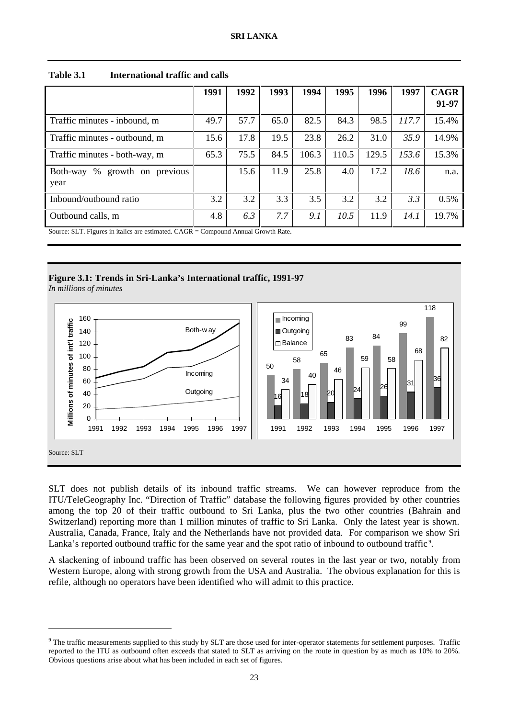|                                     | 1991 | 1992 | 1993 | 1994  | 1995  | 1996  | 1997  | <b>CAGR</b> |
|-------------------------------------|------|------|------|-------|-------|-------|-------|-------------|
|                                     |      |      |      |       |       |       |       | 91-97       |
| Traffic minutes - inbound, m        | 49.7 | 57.7 | 65.0 | 82.5  | 84.3  | 98.5  | 117.7 | 15.4%       |
| Traffic minutes - outbound, m       | 15.6 | 17.8 | 19.5 | 23.8  | 26.2  | 31.0  | 35.9  | 14.9%       |
| Traffic minutes - both-way, m       | 65.3 | 75.5 | 84.5 | 106.3 | 110.5 | 129.5 | 153.6 | 15.3%       |
| Both-way<br>%<br>growth on previous |      | 15.6 | 11.9 | 25.8  | 4.0   | 17.2  | 18.6  | n.a.        |
| year                                |      |      |      |       |       |       |       |             |
| Inbound/outbound ratio              | 3.2  | 3.2  | 3.3  | 3.5   | 3.2   | 3.2   | 3.3   | 0.5%        |
| Outbound calls, m                   | 4.8  | 6.3  | 7.7  | 9.1   | 10.5  | 11.9  | 14.1  | 19.7%       |

**Table 3.1 International traffic and calls**

Source: SLT. Figures in italics are estimated. CAGR = Compound Annual Growth Rate.

## **Figure 3.1: Trends in Sri-Lanka's International traffic, 1991-97**

*In millions of minutes*

 $\overline{a}$ 



SLT does not publish details of its inbound traffic streams. We can however reproduce from the ITU/TeleGeography Inc. "Direction of Traffic" database the following figures provided by other countries among the top 20 of their traffic outbound to Sri Lanka, plus the two other countries (Bahrain and Switzerland) reporting more than 1 million minutes of traffic to Sri Lanka. Only the latest year is shown. Australia, Canada, France, Italy and the Netherlands have not provided data. For comparison we show Sri Lanka's reported outbound traffic for the same year and the spot ratio of inbound to outbound traffic<sup>9</sup>.

A slackening of inbound traffic has been observed on several routes in the last year or two, notably from Western Europe, along with strong growth from the USA and Australia. The obvious explanation for this is refile, although no operators have been identified who will admit to this practice.

<sup>&</sup>lt;sup>9</sup> The traffic measurements supplied to this study by SLT are those used for inter-operator statements for settlement purposes. Traffic reported to the ITU as outbound often exceeds that stated to SLT as arriving on the route in question by as much as 10% to 20%. Obvious questions arise about what has been included in each set of figures.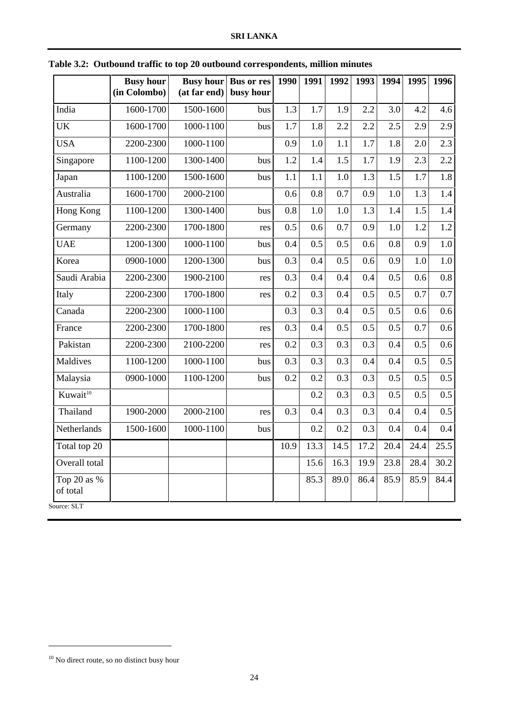|                         | <b>Busy hour</b><br>(in Colombo) | <b>Busy hour</b><br>(at far end) | <b>Bus or res</b><br>busy hour | 1990 | 1991 | 1992 | 1993 | 1994 | 1995    | 1996             |
|-------------------------|----------------------------------|----------------------------------|--------------------------------|------|------|------|------|------|---------|------------------|
|                         |                                  |                                  |                                |      |      |      |      |      |         |                  |
| India                   | 1600-1700                        | 1500-1600                        | bus                            | 1.3  | 1.7  | 1.9  | 2.2  | 3.0  | 4.2     | 4.6              |
| <b>UK</b>               | 1600-1700                        | 1000-1100                        | bus                            | 1.7  | 1.8  | 2.2  | 2.2  | 2.5  | 2.9     | 2.9              |
| <b>USA</b>              | 2200-2300                        | 1000-1100                        |                                | 0.9  | 1.0  | 1.1  | 1.7  | 1.8  | 2.0     | 2.3              |
| Singapore               | 1100-1200                        | 1300-1400                        | bus                            | 1.2  | 1.4  | 1.5  | 1.7  | 1.9  | 2.3     | 2.2              |
| Japan                   | 1100-1200                        | 1500-1600                        | bus                            | 1.1  | 1.1  | 1.0  | 1.3  | 1.5  | $1.7\,$ | 1.8              |
| Australia               | 1600-1700                        | 2000-2100                        |                                | 0.6  | 0.8  | 0.7  | 0.9  | 1.0  | 1.3     | 1.4              |
| <b>Hong Kong</b>        | 1100-1200                        | 1300-1400                        | bus                            | 0.8  | 1.0  | 1.0  | 1.3  | 1.4  | 1.5     | 1.4              |
| Germany                 | 2200-2300                        | 1700-1800                        | res                            | 0.5  | 0.6  | 0.7  | 0.9  | 1.0  | 1.2     | 1.2              |
| <b>UAE</b>              | 1200-1300                        | 1000-1100                        | bus                            | 0.4  | 0.5  | 0.5  | 0.6  | 0.8  | 0.9     | 1.0              |
| Korea                   | 0900-1000                        | 1200-1300                        | bus                            | 0.3  | 0.4  | 0.5  | 0.6  | 0.9  | 1.0     | 1.0              |
| Saudi Arabia            | 2200-2300                        | 1900-2100                        | res                            | 0.3  | 0.4  | 0.4  | 0.4  | 0.5  | 0.6     | $\overline{0.8}$ |
| Italy                   | 2200-2300                        | 1700-1800                        | res                            | 0.2  | 0.3  | 0.4  | 0.5  | 0.5  | 0.7     | 0.7              |
| Canada                  | 2200-2300                        | 1000-1100                        |                                | 0.3  | 0.3  | 0.4  | 0.5  | 0.5  | 0.6     | 0.6              |
| France                  | 2200-2300                        | 1700-1800                        | res                            | 0.3  | 0.4  | 0.5  | 0.5  | 0.5  | 0.7     | 0.6              |
| Pakistan                | 2200-2300                        | 2100-2200                        | res                            | 0.2  | 0.3  | 0.3  | 0.3  | 0.4  | 0.5     | 0.6              |
| Maldives                | 1100-1200                        | 1000-1100                        | bus                            | 0.3  | 0.3  | 0.3  | 0.4  | 0.4  | 0.5     | 0.5              |
| Malaysia                | 0900-1000                        | 1100-1200                        | bus                            | 0.2  | 0.2  | 0.3  | 0.3  | 0.5  | 0.5     | 0.5              |
| Kuwait <sup>10</sup>    |                                  |                                  |                                |      | 0.2  | 0.3  | 0.3  | 0.5  | 0.5     | 0.5              |
| Thailand                | 1900-2000                        | 2000-2100                        | res                            | 0.3  | 0.4  | 0.3  | 0.3  | 0.4  | 0.4     | 0.5              |
| Netherlands             | 1500-1600                        | 1000-1100                        | bus                            |      | 0.2  | 0.2  | 0.3  | 0.4  | 0.4     | 0.4              |
| Total top 20            |                                  |                                  |                                | 10.9 | 13.3 | 14.5 | 17.2 | 20.4 | 24.4    | 25.5             |
| Overall total           |                                  |                                  |                                |      | 15.6 | 16.3 | 19.9 | 23.8 | 28.4    | 30.2             |
| Top 20 as %<br>of total |                                  |                                  |                                |      | 85.3 | 89.0 | 86.4 | 85.9 | 85.9    | 84.4             |

**Table 3.2: Outbound traffic to top 20 outbound correspondents, million minutes**

 $\overline{a}$ 

 $^{10}$  No direct route, so no distinct busy hour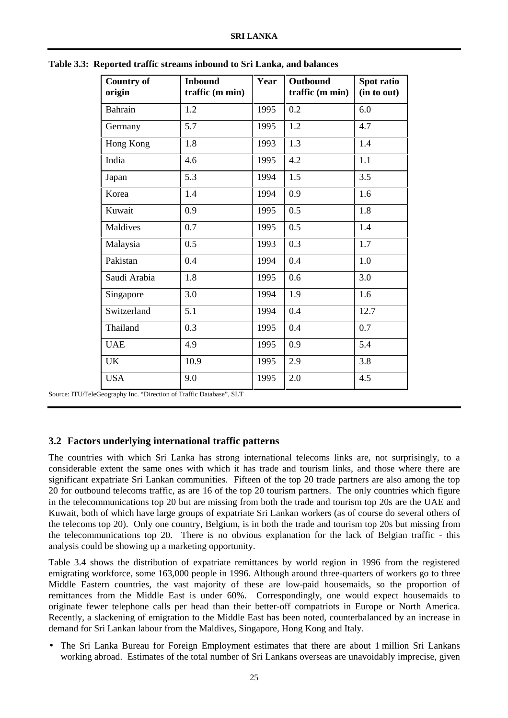| <b>Country of</b><br>origin | <b>Inbound</b><br>traffic (m min) | Year | Outbound<br>traffic (m min) | Spot ratio<br>(in to out) |
|-----------------------------|-----------------------------------|------|-----------------------------|---------------------------|
| Bahrain                     | 1.2                               | 1995 | 0.2                         | 6.0                       |
| Germany                     | 5.7                               | 1995 | 1.2                         | 4.7                       |
| Hong Kong                   | 1.8                               | 1993 | 1.3                         | 1.4                       |
| India                       | 4.6                               | 1995 | 4.2                         | 1.1                       |
| Japan                       | 5.3                               | 1994 | 1.5                         | 3.5                       |
| Korea                       | 1.4                               | 1994 | 0.9                         | 1.6                       |
| Kuwait                      | 0.9                               | 1995 | 0.5                         | 1.8                       |
| Maldives                    | 0.7                               | 1995 | 0.5                         | 1.4                       |
| Malaysia                    | 0.5                               | 1993 | 0.3                         | 1.7                       |
| Pakistan                    | 0.4                               | 1994 | 0.4                         | 1.0                       |
| Saudi Arabia                | 1.8                               | 1995 | 0.6                         | 3.0                       |
| Singapore                   | 3.0                               | 1994 | 1.9                         | 1.6                       |
| Switzerland                 | 5.1                               | 1994 | 0.4                         | 12.7                      |
| Thailand                    | 0.3                               | 1995 | 0.4                         | 0.7                       |
| <b>UAE</b>                  | 4.9                               | 1995 | 0.9                         | 5.4                       |
| <b>UK</b>                   | 10.9                              | 1995 | 2.9                         | 3.8                       |
| <b>USA</b>                  | 9.0                               | 1995 | 2.0                         | 4.5                       |

**Table 3.3: Reported traffic streams inbound to Sri Lanka, and balances**

Source: ITU/TeleGeography Inc. "Direction of Traffic Database", SLT

## **3.2 Factors underlying international traffic patterns**

The countries with which Sri Lanka has strong international telecoms links are, not surprisingly, to a considerable extent the same ones with which it has trade and tourism links, and those where there are significant expatriate Sri Lankan communities. Fifteen of the top 20 trade partners are also among the top 20 for outbound telecoms traffic, as are 16 of the top 20 tourism partners. The only countries which figure in the telecommunications top 20 but are missing from both the trade and tourism top 20s are the UAE and Kuwait, both of which have large groups of expatriate Sri Lankan workers (as of course do several others of the telecoms top 20). Only one country, Belgium, is in both the trade and tourism top 20s but missing from the telecommunications top 20. There is no obvious explanation for the lack of Belgian traffic - this analysis could be showing up a marketing opportunity.

Table 3.4 shows the distribution of expatriate remittances by world region in 1996 from the registered emigrating workforce, some 163,000 people in 1996. Although around three-quarters of workers go to three Middle Eastern countries, the vast majority of these are low-paid housemaids, so the proportion of remittances from the Middle East is under 60%. Correspondingly, one would expect housemaids to originate fewer telephone calls per head than their better-off compatriots in Europe or North America. Recently, a slackening of emigration to the Middle East has been noted, counterbalanced by an increase in demand for Sri Lankan labour from the Maldives, Singapore, Hong Kong and Italy.

• The Sri Lanka Bureau for Foreign Employment estimates that there are about 1 million Sri Lankans working abroad. Estimates of the total number of Sri Lankans overseas are unavoidably imprecise, given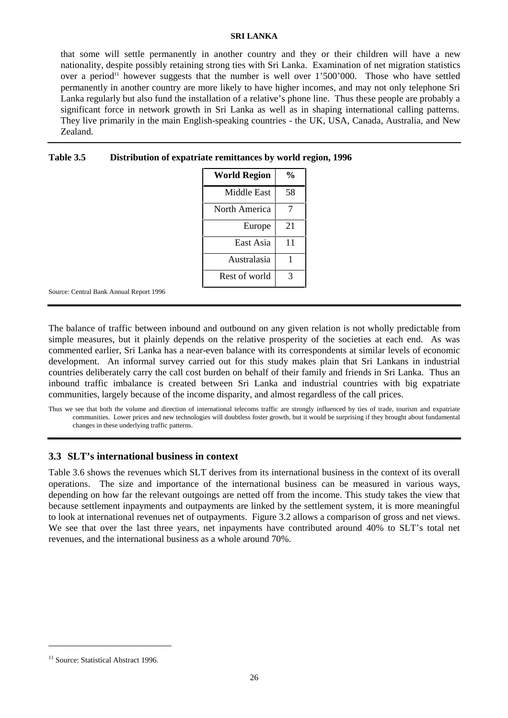that some will settle permanently in another country and they or their children will have a new nationality, despite possibly retaining strong ties with Sri Lanka. Examination of net migration statistics over a period<sup>11</sup> however suggests that the number is well over  $1'500'000$ . Those who have settled permanently in another country are more likely to have higher incomes, and may not only telephone Sri Lanka regularly but also fund the installation of a relative's phone line. Thus these people are probably a significant force in network growth in Sri Lanka as well as in shaping international calling patterns. They live primarily in the main English-speaking countries - the UK, USA, Canada, Australia, and New Zealand.

| <b>World Region</b> | %  |
|---------------------|----|
| Middle East         | 58 |
| North America       |    |
| Europe              | 21 |
| East Asia           | 11 |
| Australasia         |    |
| Rest of world       | 3  |

## **Table 3.5 Distribution of expatriate remittances by world region, 1996**

Source: Central Bank Annual Report 1996

The balance of traffic between inbound and outbound on any given relation is not wholly predictable from simple measures, but it plainly depends on the relative prosperity of the societies at each end. As was commented earlier, Sri Lanka has a near-even balance with its correspondents at similar levels of economic development. An informal survey carried out for this study makes plain that Sri Lankans in industrial countries deliberately carry the call cost burden on behalf of their family and friends in Sri Lanka. Thus an inbound traffic imbalance is created between Sri Lanka and industrial countries with big expatriate communities, largely because of the income disparity, and almost regardless of the call prices.

Thus we see that both the volume and direction of international telecoms traffic are strongly influenced by ties of trade, tourism and expatriate communities. Lower prices and new technologies will doubtless foster growth, but it would be surprising if they brought about fundamental changes in these underlying traffic patterns.

#### **3.3 SLT's international business in context**

Table 3.6 shows the revenues which SLT derives from its international business in the context of its overall operations. The size and importance of the international business can be measured in various ways, depending on how far the relevant outgoings are netted off from the income. This study takes the view that because settlement inpayments and outpayments are linked by the settlement system, it is more meaningful to look at international revenues net of outpayments. Figure 3.2 allows a comparison of gross and net views. We see that over the last three years, net inpayments have contributed around 40% to SLT's total net revenues, and the international business as a whole around 70%.

**.** 

<sup>&</sup>lt;sup>11</sup> Source: Statistical Abstract 1996.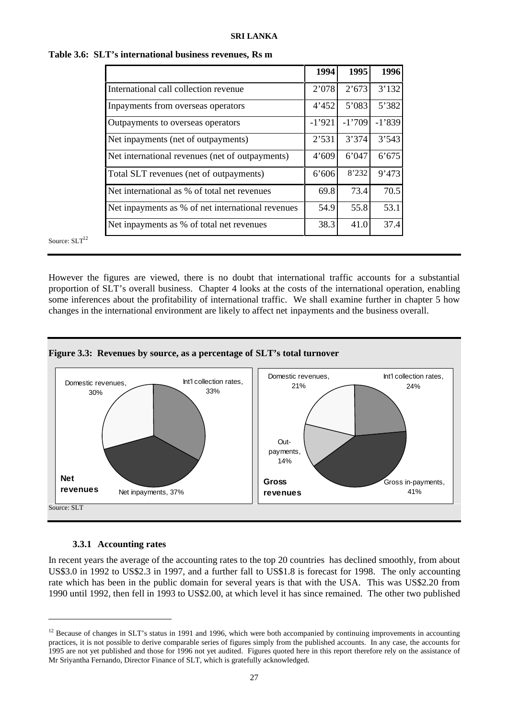| 1994     | 1995     | 1996     |
|----------|----------|----------|
| 2'078    | 2'673    | 3'132    |
| 4'452    | 5'083    | 5'382    |
| $-1'921$ | $-1'709$ | $-1'839$ |
| 2'531    | 3'374    | 3'543    |
| 4'609    | 6'047    | 6'675    |
| 6'606    | 8'232    | 9'473    |
| 69.8     | 73.4     | 70.5     |
| 54.9     | 55.8     | 53.1     |
| 38.3     | 41.0     | 37.4     |
|          |          |          |

|  |  | Table 3.6: SLT's international business revenues, Rs m |  |  |  |
|--|--|--------------------------------------------------------|--|--|--|
|--|--|--------------------------------------------------------|--|--|--|

Source:  $SLT<sup>12</sup>$ 

However the figures are viewed, there is no doubt that international traffic accounts for a substantial proportion of SLT's overall business. Chapter 4 looks at the costs of the international operation, enabling some inferences about the profitability of international traffic. We shall examine further in chapter 5 how changes in the international environment are likely to affect net inpayments and the business overall.





## **3.3.1 Accounting rates**

**.** 

In recent years the average of the accounting rates to the top 20 countries has declined smoothly, from about US\$3.0 in 1992 to US\$2.3 in 1997, and a further fall to US\$1.8 is forecast for 1998. The only accounting rate which has been in the public domain for several years is that with the USA. This was US\$2.20 from 1990 until 1992, then fell in 1993 to US\$2.00, at which level it has since remained. The other two published

 $12$  Because of changes in SLT's status in 1991 and 1996, which were both accompanied by continuing improvements in accounting practices, it is not possible to derive comparable series of figures simply from the published accounts. In any case, the accounts for 1995 are not yet published and those for 1996 not yet audited. Figures quoted here in this report therefore rely on the assistance of Mr Sriyantha Fernando, Director Finance of SLT, which is gratefully acknowledged.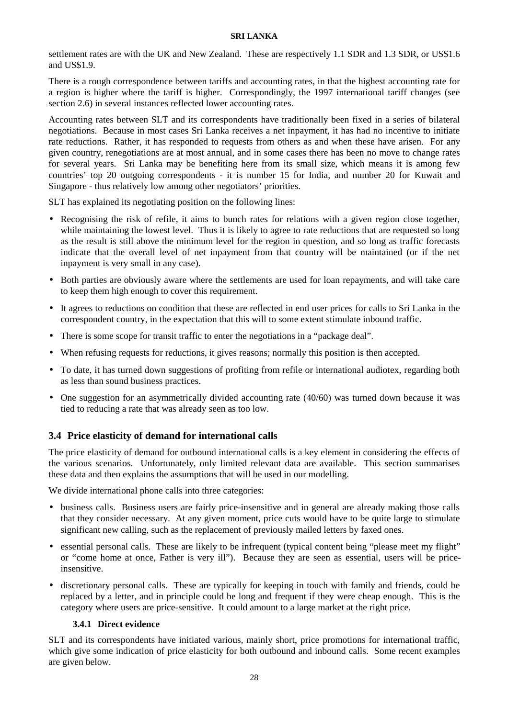settlement rates are with the UK and New Zealand. These are respectively 1.1 SDR and 1.3 SDR, or US\$1.6 and US\$1.9.

There is a rough correspondence between tariffs and accounting rates, in that the highest accounting rate for a region is higher where the tariff is higher. Correspondingly, the 1997 international tariff changes (see section 2.6) in several instances reflected lower accounting rates.

Accounting rates between SLT and its correspondents have traditionally been fixed in a series of bilateral negotiations. Because in most cases Sri Lanka receives a net inpayment, it has had no incentive to initiate rate reductions. Rather, it has responded to requests from others as and when these have arisen. For any given country, renegotiations are at most annual, and in some cases there has been no move to change rates for several years. Sri Lanka may be benefiting here from its small size, which means it is among few countries' top 20 outgoing correspondents - it is number 15 for India, and number 20 for Kuwait and Singapore - thus relatively low among other negotiators' priorities.

SLT has explained its negotiating position on the following lines:

- Recognising the risk of refile, it aims to bunch rates for relations with a given region close together, while maintaining the lowest level. Thus it is likely to agree to rate reductions that are requested so long as the result is still above the minimum level for the region in question, and so long as traffic forecasts indicate that the overall level of net inpayment from that country will be maintained (or if the net inpayment is very small in any case).
- Both parties are obviously aware where the settlements are used for loan repayments, and will take care to keep them high enough to cover this requirement.
- It agrees to reductions on condition that these are reflected in end user prices for calls to Sri Lanka in the correspondent country, in the expectation that this will to some extent stimulate inbound traffic.
- There is some scope for transit traffic to enter the negotiations in a "package deal".
- When refusing requests for reductions, it gives reasons; normally this position is then accepted.
- To date, it has turned down suggestions of profiting from refile or international audiotex, regarding both as less than sound business practices.
- One suggestion for an asymmetrically divided accounting rate (40/60) was turned down because it was tied to reducing a rate that was already seen as too low.

## **3.4 Price elasticity of demand for international calls**

The price elasticity of demand for outbound international calls is a key element in considering the effects of the various scenarios. Unfortunately, only limited relevant data are available. This section summarises these data and then explains the assumptions that will be used in our modelling.

We divide international phone calls into three categories:

- business calls. Business users are fairly price-insensitive and in general are already making those calls that they consider necessary. At any given moment, price cuts would have to be quite large to stimulate significant new calling, such as the replacement of previously mailed letters by faxed ones.
- essential personal calls. These are likely to be infrequent (typical content being "please meet my flight" or "come home at once, Father is very ill"). Because they are seen as essential, users will be priceinsensitive.
- discretionary personal calls. These are typically for keeping in touch with family and friends, could be replaced by a letter, and in principle could be long and frequent if they were cheap enough. This is the category where users are price-sensitive. It could amount to a large market at the right price.

## **3.4.1 Direct evidence**

SLT and its correspondents have initiated various, mainly short, price promotions for international traffic, which give some indication of price elasticity for both outbound and inbound calls. Some recent examples are given below.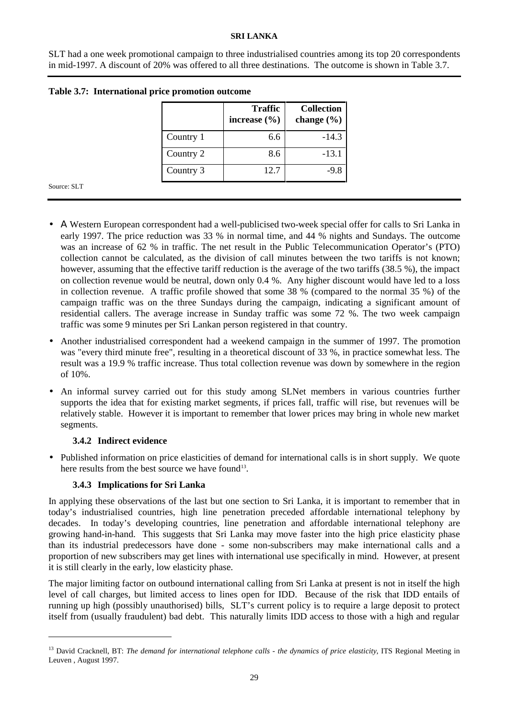SLT had a one week promotional campaign to three industrialised countries among its top 20 correspondents in mid-1997. A discount of 20% was offered to all three destinations. The outcome is shown in Table 3.7.

|           | <b>Traffic</b><br>increase $(\% )$ | <b>Collection</b><br>change $(\% )$ |
|-----------|------------------------------------|-------------------------------------|
| Country 1 | 6.6                                | $-14.3$                             |
| Country 2 | 8.6                                | $-13.1$                             |
| Country 3 | 12.7                               | ج و۔                                |

| Table 3.7: International price promotion outcome |  |  |
|--------------------------------------------------|--|--|
|                                                  |  |  |

Source: SLT

-

- Α Western European correspondent had a well-publicised two-week special offer for calls to Sri Lanka in early 1997. The price reduction was 33 % in normal time, and 44 % nights and Sundays. The outcome was an increase of 62 % in traffic. The net result in the Public Telecommunication Operator's (PTO) collection cannot be calculated, as the division of call minutes between the two tariffs is not known; however, assuming that the effective tariff reduction is the average of the two tariffs (38.5 %), the impact on collection revenue would be neutral, down only 0.4 %. Any higher discount would have led to a loss in collection revenue. A traffic profile showed that some 38 % (compared to the normal 35 %) of the campaign traffic was on the three Sundays during the campaign, indicating a significant amount of residential callers. The average increase in Sunday traffic was some 72 %. The two week campaign traffic was some 9 minutes per Sri Lankan person registered in that country.
- Another industrialised correspondent had a weekend campaign in the summer of 1997. The promotion was "every third minute free", resulting in a theoretical discount of 33 %, in practice somewhat less. The result was a 19.9 % traffic increase. Thus total collection revenue was down by somewhere in the region of 10%.
- An informal survey carried out for this study among SLNet members in various countries further supports the idea that for existing market segments, if prices fall, traffic will rise, but revenues will be relatively stable. However it is important to remember that lower prices may bring in whole new market segments.

## **3.4.2 Indirect evidence**

• Published information on price elasticities of demand for international calls is in short supply. We quote here results from the best source we have found<sup>13</sup>.

## **3.4.3 Implications for Sri Lanka**

In applying these observations of the last but one section to Sri Lanka, it is important to remember that in today's industrialised countries, high line penetration preceded affordable international telephony by decades. In today's developing countries, line penetration and affordable international telephony are growing hand-in-hand. This suggests that Sri Lanka may move faster into the high price elasticity phase than its industrial predecessors have done - some non-subscribers may make international calls and a proportion of new subscribers may get lines with international use specifically in mind. However, at present it is still clearly in the early, low elasticity phase.

The major limiting factor on outbound international calling from Sri Lanka at present is not in itself the high level of call charges, but limited access to lines open for IDD. Because of the risk that IDD entails of running up high (possibly unauthorised) bills, SLT's current policy is to require a large deposit to protect itself from (usually fraudulent) bad debt. This naturally limits IDD access to those with a high and regular

<sup>&</sup>lt;sup>13</sup> David Cracknell, BT: *The demand for international telephone calls - the dynamics of price elasticity*, ITS Regional Meeting in Leuven , August 1997.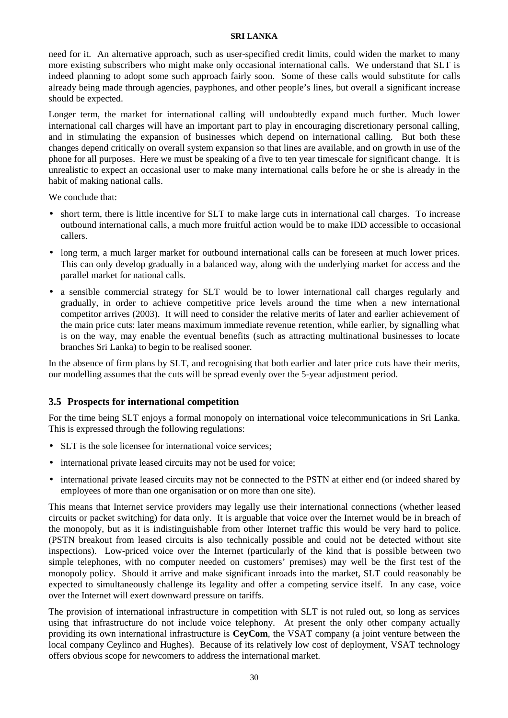need for it. An alternative approach, such as user-specified credit limits, could widen the market to many more existing subscribers who might make only occasional international calls. We understand that SLT is indeed planning to adopt some such approach fairly soon. Some of these calls would substitute for calls already being made through agencies, payphones, and other people's lines, but overall a significant increase should be expected.

Longer term, the market for international calling will undoubtedly expand much further. Much lower international call charges will have an important part to play in encouraging discretionary personal calling, and in stimulating the expansion of businesses which depend on international calling. But both these changes depend critically on overall system expansion so that lines are available, and on growth in use of the phone for all purposes. Here we must be speaking of a five to ten year timescale for significant change. It is unrealistic to expect an occasional user to make many international calls before he or she is already in the habit of making national calls.

We conclude that:

- short term, there is little incentive for SLT to make large cuts in international call charges. To increase outbound international calls, a much more fruitful action would be to make IDD accessible to occasional callers.
- long term, a much larger market for outbound international calls can be foreseen at much lower prices. This can only develop gradually in a balanced way, along with the underlying market for access and the parallel market for national calls.
- a sensible commercial strategy for SLT would be to lower international call charges regularly and gradually, in order to achieve competitive price levels around the time when a new international competitor arrives (2003). It will need to consider the relative merits of later and earlier achievement of the main price cuts: later means maximum immediate revenue retention, while earlier, by signalling what is on the way, may enable the eventual benefits (such as attracting multinational businesses to locate branches Sri Lanka) to begin to be realised sooner.

In the absence of firm plans by SLT, and recognising that both earlier and later price cuts have their merits, our modelling assumes that the cuts will be spread evenly over the 5-year adjustment period.

## **3.5 Prospects for international competition**

For the time being SLT enjoys a formal monopoly on international voice telecommunications in Sri Lanka. This is expressed through the following regulations:

- SLT is the sole licensee for international voice services:
- international private leased circuits may not be used for voice;
- international private leased circuits may not be connected to the PSTN at either end (or indeed shared by employees of more than one organisation or on more than one site).

This means that Internet service providers may legally use their international connections (whether leased circuits or packet switching) for data only. It is arguable that voice over the Internet would be in breach of the monopoly, but as it is indistinguishable from other Internet traffic this would be very hard to police. (PSTN breakout from leased circuits is also technically possible and could not be detected without site inspections). Low-priced voice over the Internet (particularly of the kind that is possible between two simple telephones, with no computer needed on customers' premises) may well be the first test of the monopoly policy. Should it arrive and make significant inroads into the market, SLT could reasonably be expected to simultaneously challenge its legality and offer a competing service itself. In any case, voice over the Internet will exert downward pressure on tariffs.

The provision of international infrastructure in competition with SLT is not ruled out, so long as services using that infrastructure do not include voice telephony. At present the only other company actually providing its own international infrastructure is **CeyCom**, the VSAT company (a joint venture between the local company Ceylinco and Hughes). Because of its relatively low cost of deployment, VSAT technology offers obvious scope for newcomers to address the international market.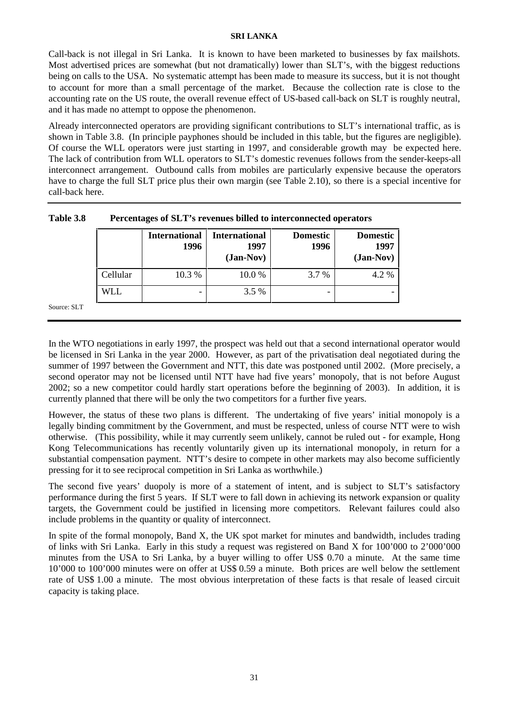Call-back is not illegal in Sri Lanka. It is known to have been marketed to businesses by fax mailshots. Most advertised prices are somewhat (but not dramatically) lower than SLT's, with the biggest reductions being on calls to the USA. No systematic attempt has been made to measure its success, but it is not thought to account for more than a small percentage of the market. Because the collection rate is close to the accounting rate on the US route, the overall revenue effect of US-based call-back on SLT is roughly neutral, and it has made no attempt to oppose the phenomenon.

Already interconnected operators are providing significant contributions to SLT's international traffic, as is shown in Table 3.8. (In principle payphones should be included in this table, but the figures are negligible). Of course the WLL operators were just starting in 1997, and considerable growth may be expected here. The lack of contribution from WLL operators to SLT's domestic revenues follows from the sender-keeps-all interconnect arrangement. Outbound calls from mobiles are particularly expensive because the operators have to charge the full SLT price plus their own margin (see Table 2.10), so there is a special incentive for call-back here.

|             |            | <b>International</b><br>1996 | <b>International</b><br>1997<br>$(Jan-Nov)$ | <b>Domestic</b><br>1996 | <b>Domestic</b><br>1997<br>$(Jan-Nov)$ |
|-------------|------------|------------------------------|---------------------------------------------|-------------------------|----------------------------------------|
|             | Cellular   | 10.3 %                       | 10.0%                                       | 3.7 %                   | 4.2 %                                  |
|             | <b>WLL</b> | $\overline{\phantom{0}}$     | 3.5 %                                       | -                       |                                        |
| Source: SLT |            |                              |                                             |                         |                                        |

| Table 3.8 | Percentages of SLT's revenues billed to interconnected operators |
|-----------|------------------------------------------------------------------|
|-----------|------------------------------------------------------------------|

In the WTO negotiations in early 1997, the prospect was held out that a second international operator would be licensed in Sri Lanka in the year 2000. However, as part of the privatisation deal negotiated during the summer of 1997 between the Government and NTT, this date was postponed until 2002. (More precisely, a second operator may not be licensed until NTT have had five years' monopoly, that is not before August 2002; so a new competitor could hardly start operations before the beginning of 2003). In addition, it is currently planned that there will be only the two competitors for a further five years.

However, the status of these two plans is different. The undertaking of five years' initial monopoly is a legally binding commitment by the Government, and must be respected, unless of course NTT were to wish otherwise. (This possibility, while it may currently seem unlikely, cannot be ruled out - for example, Hong Kong Telecommunications has recently voluntarily given up its international monopoly, in return for a substantial compensation payment. NTT's desire to compete in other markets may also become sufficiently pressing for it to see reciprocal competition in Sri Lanka as worthwhile.)

The second five years' duopoly is more of a statement of intent, and is subject to SLT's satisfactory performance during the first 5 years. If SLT were to fall down in achieving its network expansion or quality targets, the Government could be justified in licensing more competitors. Relevant failures could also include problems in the quantity or quality of interconnect.

In spite of the formal monopoly, Band X, the UK spot market for minutes and bandwidth, includes trading of links with Sri Lanka. Early in this study a request was registered on Band X for 100'000 to 2'000'000 minutes from the USA to Sri Lanka, by a buyer willing to offer US\$ 0.70 a minute. At the same time 10'000 to 100'000 minutes were on offer at US\$ 0.59 a minute. Both prices are well below the settlement rate of US\$ 1.00 a minute. The most obvious interpretation of these facts is that resale of leased circuit capacity is taking place.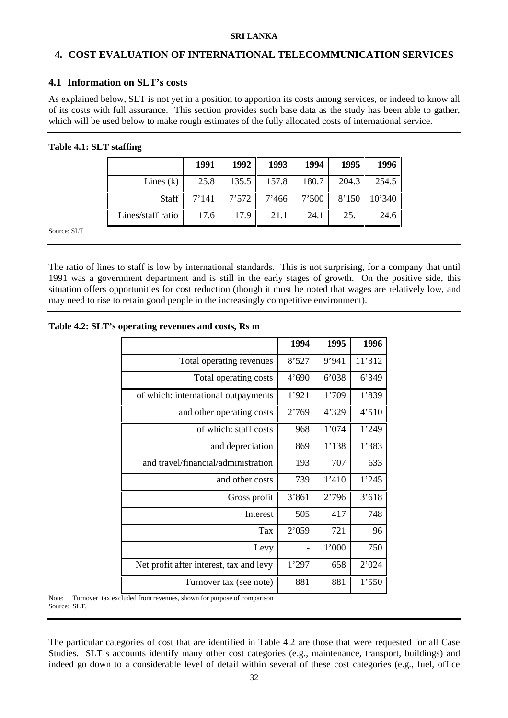## **4. COST EVALUATION OF INTERNATIONAL TELECOMMUNICATION SERVICES**

## **4.1 Information on SLT's costs**

As explained below, SLT is not yet in a position to apportion its costs among services, or indeed to know all of its costs with full assurance. This section provides such base data as the study has been able to gather, which will be used below to make rough estimates of the fully allocated costs of international service.

## **Table 4.1: SLT staffing**

|                   | 1991  | 1992    | 1993  | 1994  | 1995  | 1996   |
|-------------------|-------|---------|-------|-------|-------|--------|
| Lines $(k)$       | 125.8 | 135.5   | 157.8 | 180.7 | 204.3 | 254.5  |
| <b>Staff</b>      | 7'141 | $7'572$ | 7'466 | 7'500 | 8'150 | 10'340 |
| Lines/staff ratio | 17.6  | 17.9    | 21.1  | 24.1  | 25.1  | 24.6   |

Source: SLT

The ratio of lines to staff is low by international standards. This is not surprising, for a company that until 1991 was a government department and is still in the early stages of growth. On the positive side, this situation offers opportunities for cost reduction (though it must be noted that wages are relatively low, and may need to rise to retain good people in the increasingly competitive environment).

## **Table 4.2: SLT's operating revenues and costs, Rs m**

|                                         | 1994  | 1995  | 1996   |
|-----------------------------------------|-------|-------|--------|
| Total operating revenues                | 8'527 | 9'941 | 11'312 |
| Total operating costs                   | 4'690 | 6'038 | 6'349  |
| of which: international outpayments     | 1'921 | 1'709 | 1'839  |
| and other operating costs               | 2'769 | 4'329 | 4'510  |
| of which: staff costs                   | 968   | 1'074 | 1'249  |
| and depreciation                        | 869   | 1'138 | 1'383  |
| and travel/financial/administration     | 193   | 707   | 633    |
| and other costs                         | 739   | 1'410 | 1'245  |
| Gross profit                            | 3'861 | 2'796 | 3'618  |
| <b>Interest</b>                         | 505   | 417   | 748    |
| <b>Tax</b>                              | 2'059 | 721   | 96     |
| Levy                                    |       | 1'000 | 750    |
| Net profit after interest, tax and levy | 1'297 | 658   | 2'024  |
| Turnover tax (see note)                 | 881   | 881   | 1'550  |

Note: Turnover tax excluded from revenues, shown for purpose of comparison Source: SLT.

The particular categories of cost that are identified in Table 4.2 are those that were requested for all Case Studies. SLT's accounts identify many other cost categories (e.g., maintenance, transport, buildings) and indeed go down to a considerable level of detail within several of these cost categories (e.g., fuel, office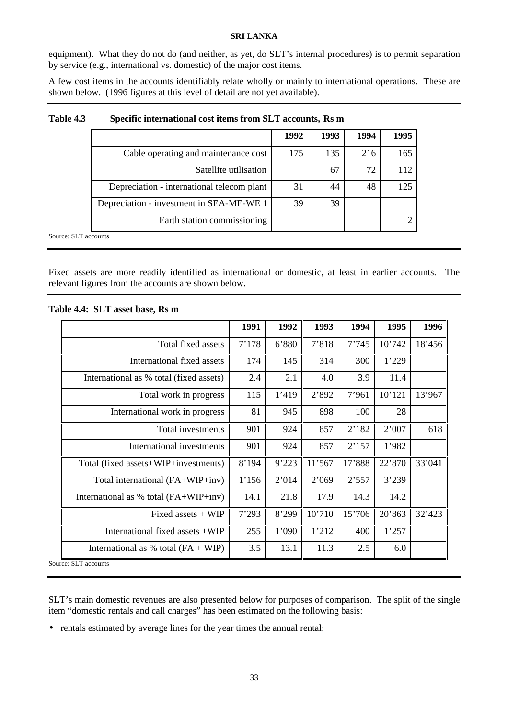equipment). What they do not do (and neither, as yet, do SLT's internal procedures) is to permit separation by service (e.g., international vs. domestic) of the major cost items.

A few cost items in the accounts identifiably relate wholly or mainly to international operations. These are shown below. (1996 figures at this level of detail are not yet available).

|                                            | 1992 | 1993 | 1994 | 1995 |
|--------------------------------------------|------|------|------|------|
| Cable operating and maintenance cost       | 175  | 135  | 216  | 165  |
| Satellite utilisation                      |      | 67   | 72   | 112  |
| Depreciation - international telecom plant | 31   | 44   | 48   | 125  |
| Depreciation - investment in SEA-ME-WE 1   | 39   | 39   |      |      |
| Earth station commissioning                |      |      |      |      |

## **Table 4.3 Specific international cost items from SLT accounts, Rs m**

Source: SLT accounts

Fixed assets are more readily identified as international or domestic, at least in earlier accounts. The relevant figures from the accounts are shown below.

|                                         | 1991  | 1992  | 1993   | 1994   | 1995   | 1996   |
|-----------------------------------------|-------|-------|--------|--------|--------|--------|
| Total fixed assets                      | 7'178 | 6'880 | 7'818  | 7'745  | 10'742 | 18'456 |
| International fixed assets              | 174   | 145   | 314    | 300    | 1'229  |        |
| International as % total (fixed assets) | 2.4   | 2.1   | 4.0    | 3.9    | 11.4   |        |
| Total work in progress                  | 115   | 1'419 | 2'892  | 7'961  | 10'121 | 13'967 |
| International work in progress          | 81    | 945   | 898    | 100    | 28     |        |
| Total investments                       | 901   | 924   | 857    | 2'182  | 2'007  | 618    |
| International investments               | 901   | 924   | 857    | 2'157  | 1'982  |        |
| Total (fixed assets+WIP+investments)    | 8'194 | 9'223 | 11'567 | 17'888 | 22'870 | 33'041 |
| Total international (FA+WIP+inv)        | 1'156 | 2'014 | 2'069  | 2'557  | 3'239  |        |
| International as % total $(FA+WIP+inv)$ | 14.1  | 21.8  | 17.9   | 14.3   | 14.2   |        |
| Fixed assets $+$ WIP                    | 7'293 | 8'299 | 10'710 | 15'706 | 20'863 | 32'423 |
| International fixed assets +WIP         | 255   | 1'090 | 1'212  | 400    | 1'257  |        |
| International as % total $(FA + WIP)$   | 3.5   | 13.1  | 11.3   | 2.5    | 6.0    |        |

#### **Table 4.4: SLT asset base, Rs m**

SLT's main domestic revenues are also presented below for purposes of comparison. The split of the single item "domestic rentals and call charges" has been estimated on the following basis:

• rentals estimated by average lines for the year times the annual rental;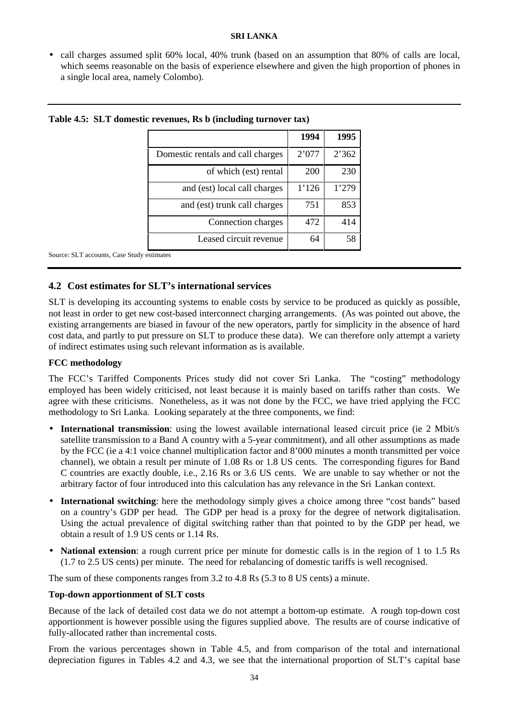• call charges assumed split 60% local, 40% trunk (based on an assumption that 80% of calls are local, which seems reasonable on the basis of experience elsewhere and given the high proportion of phones in a single local area, namely Colombo).

|                                   | 1994  | 1995  |
|-----------------------------------|-------|-------|
| Domestic rentals and call charges | 2'077 | 2'362 |
| of which (est) rental             | 200   | 230   |
| and (est) local call charges      | 1'126 | 1'279 |
| and (est) trunk call charges      | 751   | 853   |
| Connection charges                | 472   | 414   |
| Leased circuit revenue            | 64    | 58    |

Source: SLT accounts, Case Study estimates

## **4.2 Cost estimates for SLT's international services**

SLT is developing its accounting systems to enable costs by service to be produced as quickly as possible, not least in order to get new cost-based interconnect charging arrangements. (As was pointed out above, the existing arrangements are biased in favour of the new operators, partly for simplicity in the absence of hard cost data, and partly to put pressure on SLT to produce these data). We can therefore only attempt a variety of indirect estimates using such relevant information as is available.

## **FCC methodology**

The FCC's Tariffed Components Prices study did not cover Sri Lanka. The "costing" methodology employed has been widely criticised, not least because it is mainly based on tariffs rather than costs. We agree with these criticisms. Nonetheless, as it was not done by the FCC, we have tried applying the FCC methodology to Sri Lanka. Looking separately at the three components, we find:

- **International transmission**: using the lowest available international leased circuit price (ie 2 Mbit/s satellite transmission to a Band A country with a 5-year commitment), and all other assumptions as made by the FCC (ie a 4:1 voice channel multiplication factor and 8'000 minutes a month transmitted per voice channel), we obtain a result per minute of 1.08 Rs or 1.8 US cents. The corresponding figures for Band C countries are exactly double, i.e., 2.16 Rs or 3.6 US cents. We are unable to say whether or not the arbitrary factor of four introduced into this calculation has any relevance in the Sri Lankan context.
- **International switching**: here the methodology simply gives a choice among three "cost bands" based on a country's GDP per head. The GDP per head is a proxy for the degree of network digitalisation. Using the actual prevalence of digital switching rather than that pointed to by the GDP per head, we obtain a result of 1.9 US cents or 1.14 Rs.
- **National extension**: a rough current price per minute for domestic calls is in the region of 1 to 1.5 Rs (1.7 to 2.5 US cents) per minute. The need for rebalancing of domestic tariffs is well recognised.

The sum of these components ranges from 3.2 to 4.8 Rs (5.3 to 8 US cents) a minute.

## **Top-down apportionment of SLT costs**

Because of the lack of detailed cost data we do not attempt a bottom-up estimate. A rough top-down cost apportionment is however possible using the figures supplied above. The results are of course indicative of fully-allocated rather than incremental costs.

From the various percentages shown in Table 4.5, and from comparison of the total and international depreciation figures in Tables 4.2 and 4.3, we see that the international proportion of SLT's capital base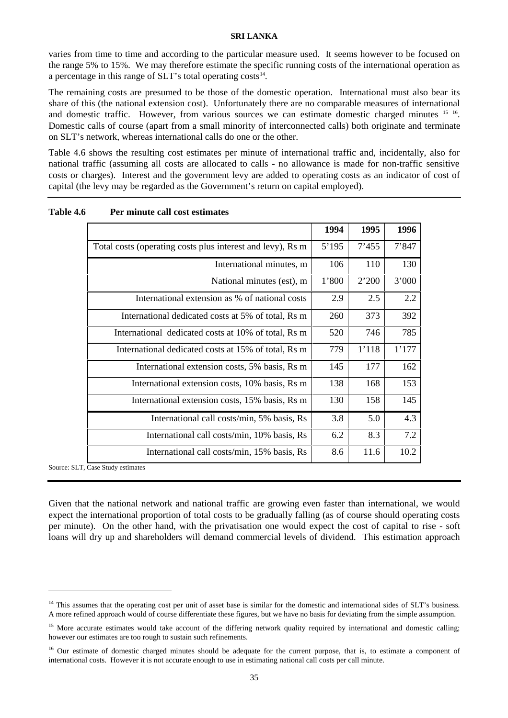varies from time to time and according to the particular measure used. It seems however to be focused on the range 5% to 15%. We may therefore estimate the specific running costs of the international operation as a percentage in this range of  $SLT$ 's total operating costs<sup>14</sup>.

The remaining costs are presumed to be those of the domestic operation. International must also bear its share of this (the national extension cost). Unfortunately there are no comparable measures of international and domestic traffic. However, from various sources we can estimate domestic charged minutes 15 16. Domestic calls of course (apart from a small minority of interconnected calls) both originate and terminate on SLT's network, whereas international calls do one or the other.

Table 4.6 shows the resulting cost estimates per minute of international traffic and, incidentally, also for national traffic (assuming all costs are allocated to calls - no allowance is made for non-traffic sensitive costs or charges). Interest and the government levy are added to operating costs as an indicator of cost of capital (the levy may be regarded as the Government's return on capital employed).

|                                                            | 1994  | 1995  | 1996  |
|------------------------------------------------------------|-------|-------|-------|
| Total costs (operating costs plus interest and levy), Rs m | 5'195 | 7'455 | 7'847 |
| International minutes, m                                   | 106   | 110   | 130   |
| National minutes (est), m                                  | 1'800 | 2'200 | 3'000 |
| International extension as % of national costs             | 2.9   | 2.5   | 2.2   |
| International dedicated costs at 5% of total, Rs m         | 260   | 373   | 392   |
| International dedicated costs at 10% of total, Rs m        | 520   | 746   | 785   |
| International dedicated costs at 15% of total, Rs m        | 779   | 1'118 | 1'177 |
| International extension costs, 5% basis, Rs m              | 145   | 177   | 162   |
| International extension costs, 10% basis, Rs m             | 138   | 168   | 153   |
| International extension costs, 15% basis, Rs m             | 130   | 158   | 145   |
| International call costs/min, 5% basis, Rs                 | 3.8   | 5.0   | 4.3   |
| International call costs/min, 10% basis, Rs                | 6.2   | 8.3   | 7.2   |
| International call costs/min, 15% basis, Rs                | 8.6   | 11.6  | 10.2  |

**Table 4.6 Per minute call cost estimates**

Source: SLT, Case Study estimates

**.** 

Given that the national network and national traffic are growing even faster than international, we would expect the international proportion of total costs to be gradually falling (as of course should operating costs per minute). On the other hand, with the privatisation one would expect the cost of capital to rise - soft loans will dry up and shareholders will demand commercial levels of dividend. This estimation approach

<sup>&</sup>lt;sup>14</sup> This assumes that the operating cost per unit of asset base is similar for the domestic and international sides of SLT's business. A more refined approach would of course differentiate these figures, but we have no basis for deviating from the simple assumption.

<sup>&</sup>lt;sup>15</sup> More accurate estimates would take account of the differing network quality required by international and domestic calling; however our estimates are too rough to sustain such refinements.

<sup>&</sup>lt;sup>16</sup> Our estimate of domestic charged minutes should be adequate for the current purpose, that is, to estimate a component of international costs. However it is not accurate enough to use in estimating national call costs per call minute.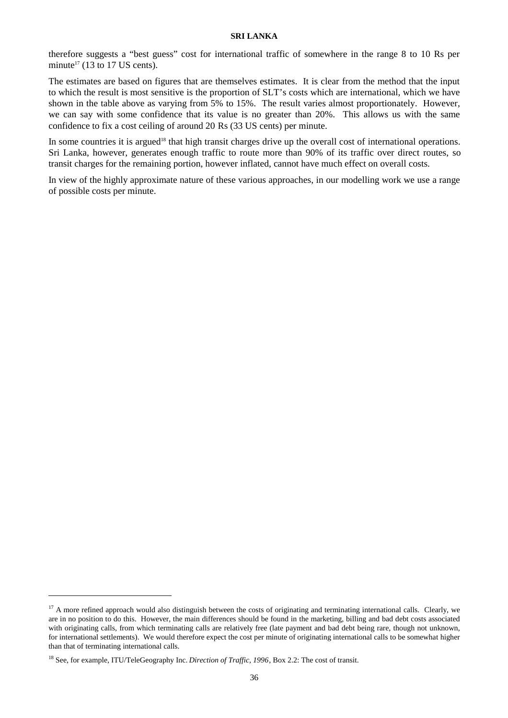therefore suggests a "best guess" cost for international traffic of somewhere in the range 8 to 10 Rs per minute<sup>17</sup> (13 to 17 US cents).

The estimates are based on figures that are themselves estimates. It is clear from the method that the input to which the result is most sensitive is the proportion of SLT's costs which are international, which we have shown in the table above as varying from 5% to 15%. The result varies almost proportionately. However, we can say with some confidence that its value is no greater than 20%. This allows us with the same confidence to fix a cost ceiling of around 20 Rs (33 US cents) per minute.

In some countries it is argued<sup>18</sup> that high transit charges drive up the overall cost of international operations. Sri Lanka, however, generates enough traffic to route more than 90% of its traffic over direct routes, so transit charges for the remaining portion, however inflated, cannot have much effect on overall costs.

In view of the highly approximate nature of these various approaches, in our modelling work we use a range of possible costs per minute.

**.** 

 $17$  A more refined approach would also distinguish between the costs of originating and terminating international calls. Clearly, we are in no position to do this. However, the main differences should be found in the marketing, billing and bad debt costs associated with originating calls, from which terminating calls are relatively free (late payment and bad debt being rare, though not unknown, for international settlements). We would therefore expect the cost per minute of originating international calls to be somewhat higher than that of terminating international calls.

<sup>18</sup> See, for example, ITU/TeleGeography Inc. *Direction of Traffic, 1996*, Box 2.2: The cost of transit.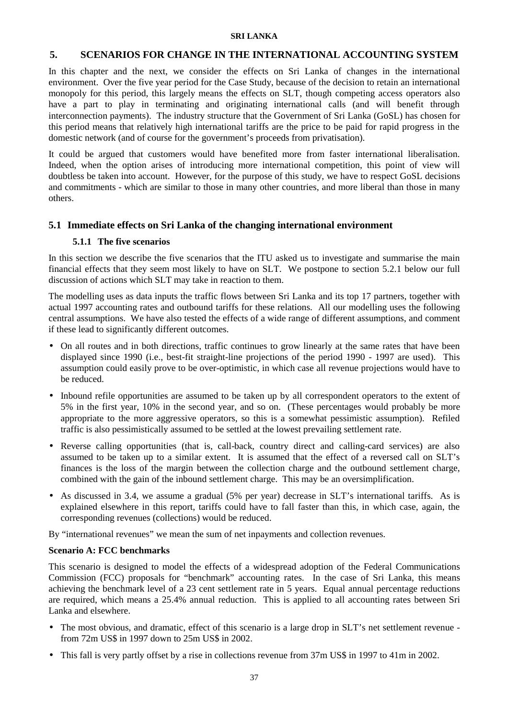## **5. SCENARIOS FOR CHANGE IN THE INTERNATIONAL ACCOUNTING SYSTEM**

In this chapter and the next, we consider the effects on Sri Lanka of changes in the international environment. Over the five year period for the Case Study, because of the decision to retain an international monopoly for this period, this largely means the effects on SLT, though competing access operators also have a part to play in terminating and originating international calls (and will benefit through interconnection payments). The industry structure that the Government of Sri Lanka (GoSL) has chosen for this period means that relatively high international tariffs are the price to be paid for rapid progress in the domestic network (and of course for the government's proceeds from privatisation).

It could be argued that customers would have benefited more from faster international liberalisation. Indeed, when the option arises of introducing more international competition, this point of view will doubtless be taken into account. However, for the purpose of this study, we have to respect GoSL decisions and commitments - which are similar to those in many other countries, and more liberal than those in many others.

## **5.1 Immediate effects on Sri Lanka of the changing international environment**

## **5.1.1 The five scenarios**

In this section we describe the five scenarios that the ITU asked us to investigate and summarise the main financial effects that they seem most likely to have on SLT. We postpone to section 5.2.1 below our full discussion of actions which SLT may take in reaction to them.

The modelling uses as data inputs the traffic flows between Sri Lanka and its top 17 partners, together with actual 1997 accounting rates and outbound tariffs for these relations. All our modelling uses the following central assumptions. We have also tested the effects of a wide range of different assumptions, and comment if these lead to significantly different outcomes.

- On all routes and in both directions, traffic continues to grow linearly at the same rates that have been displayed since 1990 (i.e., best-fit straight-line projections of the period 1990 - 1997 are used). This assumption could easily prove to be over-optimistic, in which case all revenue projections would have to be reduced.
- Inbound refile opportunities are assumed to be taken up by all correspondent operators to the extent of 5% in the first year, 10% in the second year, and so on. (These percentages would probably be more appropriate to the more aggressive operators, so this is a somewhat pessimistic assumption). Refiled traffic is also pessimistically assumed to be settled at the lowest prevailing settlement rate.
- Reverse calling opportunities (that is, call-back, country direct and calling-card services) are also assumed to be taken up to a similar extent. It is assumed that the effect of a reversed call on SLT's finances is the loss of the margin between the collection charge and the outbound settlement charge, combined with the gain of the inbound settlement charge. This may be an oversimplification.
- As discussed in 3.4, we assume a gradual (5% per year) decrease in SLT's international tariffs. As is explained elsewhere in this report, tariffs could have to fall faster than this, in which case, again, the corresponding revenues (collections) would be reduced.

By "international revenues" we mean the sum of net inpayments and collection revenues.

## **Scenario A: FCC benchmarks**

This scenario is designed to model the effects of a widespread adoption of the Federal Communications Commission (FCC) proposals for "benchmark" accounting rates. In the case of Sri Lanka, this means achieving the benchmark level of a 23 cent settlement rate in 5 years. Equal annual percentage reductions are required, which means a 25.4% annual reduction. This is applied to all accounting rates between Sri Lanka and elsewhere.

- The most obvious, and dramatic, effect of this scenario is a large drop in SLT's net settlement revenue from 72m US\$ in 1997 down to 25m US\$ in 2002.
- This fall is very partly offset by a rise in collections revenue from 37m US\$ in 1997 to 41m in 2002.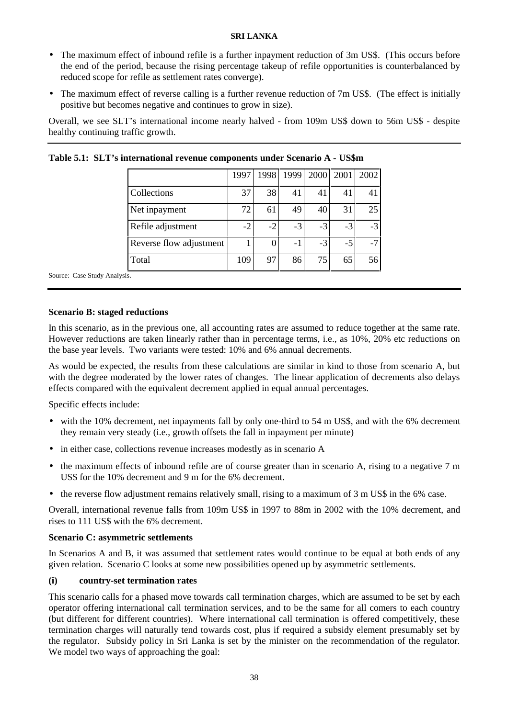- The maximum effect of inbound refile is a further inpayment reduction of 3m US\$. (This occurs before the end of the period, because the rising percentage takeup of refile opportunities is counterbalanced by reduced scope for refile as settlement rates converge).
- The maximum effect of reverse calling is a further revenue reduction of 7m US\$. (The effect is initially positive but becomes negative and continues to grow in size).

Overall, we see SLT's international income nearly halved - from 109m US\$ down to 56m US\$ - despite healthy continuing traffic growth.

**Table 5.1: SLT's international revenue components under Scenario A - US\$m**

|                         | 1997 | 1998 | 1999 | 2000 | 2001 | 2002 |
|-------------------------|------|------|------|------|------|------|
| Collections             | 37   | 38   | 41   | 41   | 41   | 41   |
| Net inpayment           | 72   | 61   | 49   | 40   | 31   | 25   |
| Refile adjustment       | $-2$ | $-2$ | $-3$ | $-3$ | $-3$ | $-3$ |
| Reverse flow adjustment |      |      | $-1$ | $-3$ | $-5$ | $-7$ |
| Total                   | 109  | 97   | 86   | 75   | 65   | 56   |

Source: Case Study Analysis.

## **Scenario B: staged reductions**

In this scenario, as in the previous one, all accounting rates are assumed to reduce together at the same rate. However reductions are taken linearly rather than in percentage terms, i.e., as 10%, 20% etc reductions on the base year levels. Two variants were tested: 10% and 6% annual decrements.

As would be expected, the results from these calculations are similar in kind to those from scenario A, but with the degree moderated by the lower rates of changes. The linear application of decrements also delays effects compared with the equivalent decrement applied in equal annual percentages.

Specific effects include:

- with the 10% decrement, net inpayments fall by only one-third to 54 m US\$, and with the 6% decrement they remain very steady (i.e., growth offsets the fall in inpayment per minute)
- in either case, collections revenue increases modestly as in scenario A
- the maximum effects of inbound refile are of course greater than in scenario A, rising to a negative 7 m US\$ for the 10% decrement and 9 m for the 6% decrement.
- the reverse flow adjustment remains relatively small, rising to a maximum of 3 m US\$ in the 6% case.

Overall, international revenue falls from 109m US\$ in 1997 to 88m in 2002 with the 10% decrement, and rises to 111 US\$ with the 6% decrement.

#### **Scenario C: asymmetric settlements**

In Scenarios A and B, it was assumed that settlement rates would continue to be equal at both ends of any given relation. Scenario C looks at some new possibilities opened up by asymmetric settlements.

#### **(i) country-set termination rates**

This scenario calls for a phased move towards call termination charges, which are assumed to be set by each operator offering international call termination services, and to be the same for all comers to each country (but different for different countries). Where international call termination is offered competitively, these termination charges will naturally tend towards cost, plus if required a subsidy element presumably set by the regulator. Subsidy policy in Sri Lanka is set by the minister on the recommendation of the regulator. We model two ways of approaching the goal: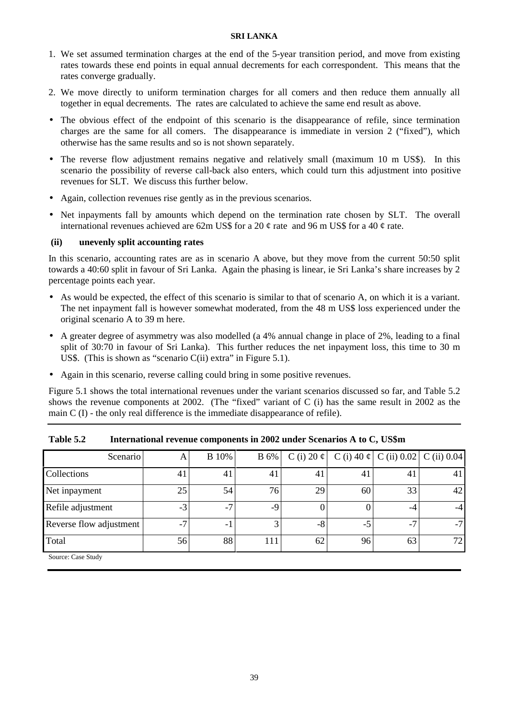- 1. We set assumed termination charges at the end of the 5-year transition period, and move from existing rates towards these end points in equal annual decrements for each correspondent. This means that the rates converge gradually.
- 2. We move directly to uniform termination charges for all comers and then reduce them annually all together in equal decrements. The rates are calculated to achieve the same end result as above.
- The obvious effect of the endpoint of this scenario is the disappearance of refile, since termination charges are the same for all comers. The disappearance is immediate in version 2 ("fixed"), which otherwise has the same results and so is not shown separately.
- The reverse flow adjustment remains negative and relatively small (maximum 10 m US\$). In this scenario the possibility of reverse call-back also enters, which could turn this adjustment into positive revenues for SLT. We discuss this further below.
- Again, collection revenues rise gently as in the previous scenarios.
- Net inpayments fall by amounts which depend on the termination rate chosen by SLT. The overall international revenues achieved are 62m US\$ for a 20  $\phi$  rate and 96 m US\$ for a 40  $\phi$  rate.

## **(ii) unevenly split accounting rates**

In this scenario, accounting rates are as in scenario A above, but they move from the current 50:50 split towards a 40:60 split in favour of Sri Lanka. Again the phasing is linear, ie Sri Lanka's share increases by 2 percentage points each year.

- As would be expected, the effect of this scenario is similar to that of scenario A, on which it is a variant. The net inpayment fall is however somewhat moderated, from the 48 m US\$ loss experienced under the original scenario A to 39 m here.
- A greater degree of asymmetry was also modelled (a 4% annual change in place of 2%, leading to a final split of 30:70 in favour of Sri Lanka). This further reduces the net inpayment loss, this time to 30 m US\$. (This is shown as "scenario  $C(i)$  extra" in Figure 5.1).
- Again in this scenario, reverse calling could bring in some positive revenues.

Figure 5.1 shows the total international revenues under the variant scenarios discussed so far, and Table 5.2 shows the revenue components at 2002. (The "fixed" variant of C (i) has the same result in 2002 as the main C (I) - the only real difference is the immediate disappearance of refile).

| Scenario                | A    | <b>B</b> 10% | <b>B</b> 6% |    |    | C (i) 20 $\varphi$   C (i) 40 $\varphi$   C (ii) 0.02   C (ii) 0.04 |      |
|-------------------------|------|--------------|-------------|----|----|---------------------------------------------------------------------|------|
| Collections             | 41   | 41           | 41          | 41 | 41 | 41                                                                  | 41   |
| Net inpayment           | 25   | 54           | 76          | 29 | 60 | 33                                                                  | 42   |
| Refile adjustment       | $-3$ | $-7$         | -9          |    |    |                                                                     | $-4$ |
| Reverse flow adjustment | $-7$ | -            |             | -8 |    | $-7$                                                                | $-7$ |
| Total                   | 56   | 88           | 111         | 62 | 96 | 63                                                                  | 72   |
| Source: Case Study      |      |              |             |    |    |                                                                     |      |

**Table 5.2 International revenue components in 2002 under Scenarios A to C, US\$m**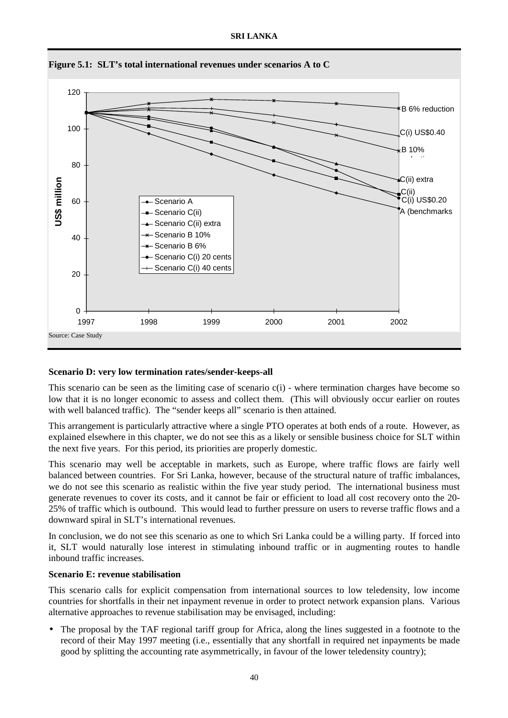

**Figure 5.1: SLT's total international revenues under scenarios A to C**

## **Scenario D: very low termination rates/sender-keeps-all**

This scenario can be seen as the limiting case of scenario  $c(i)$  - where termination charges have become so low that it is no longer economic to assess and collect them. (This will obviously occur earlier on routes with well balanced traffic). The "sender keeps all" scenario is then attained.

This arrangement is particularly attractive where a single PTO operates at both ends of a route. However, as explained elsewhere in this chapter, we do not see this as a likely or sensible business choice for SLT within the next five years. For this period, its priorities are properly domestic.

This scenario may well be acceptable in markets, such as Europe, where traffic flows are fairly well balanced between countries. For Sri Lanka, however, because of the structural nature of traffic imbalances, we do not see this scenario as realistic within the five year study period. The international business must generate revenues to cover its costs, and it cannot be fair or efficient to load all cost recovery onto the 20- 25% of traffic which is outbound. This would lead to further pressure on users to reverse traffic flows and a downward spiral in SLT's international revenues.

In conclusion, we do not see this scenario as one to which Sri Lanka could be a willing party. If forced into it, SLT would naturally lose interest in stimulating inbound traffic or in augmenting routes to handle inbound traffic increases.

#### **Scenario E: revenue stabilisation**

This scenario calls for explicit compensation from international sources to low teledensity, low income countries for shortfalls in their net inpayment revenue in order to protect network expansion plans. Various alternative approaches to revenue stabilisation may be envisaged, including:

• The proposal by the TAF regional tariff group for Africa, along the lines suggested in a footnote to the record of their May 1997 meeting (i.e., essentially that any shortfall in required net inpayments be made good by splitting the accounting rate asymmetrically, in favour of the lower teledensity country);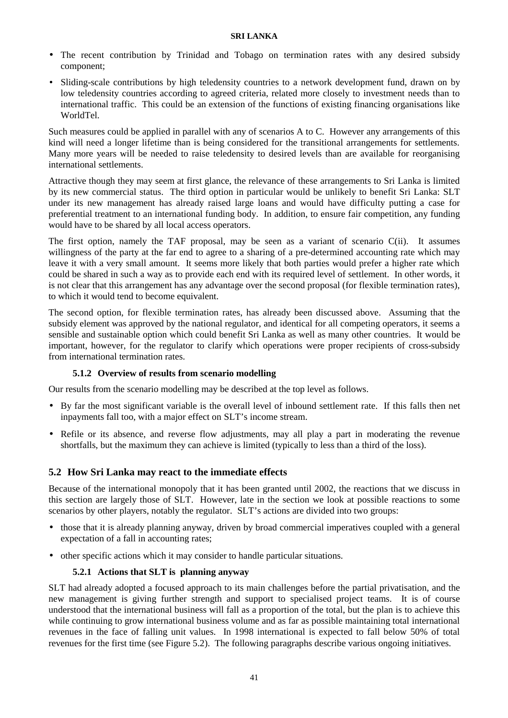- The recent contribution by Trinidad and Tobago on termination rates with any desired subsidy component;
- Sliding-scale contributions by high teledensity countries to a network development fund, drawn on by low teledensity countries according to agreed criteria, related more closely to investment needs than to international traffic. This could be an extension of the functions of existing financing organisations like WorldTel.

Such measures could be applied in parallel with any of scenarios A to C. However any arrangements of this kind will need a longer lifetime than is being considered for the transitional arrangements for settlements. Many more years will be needed to raise teledensity to desired levels than are available for reorganising international settlements.

Attractive though they may seem at first glance, the relevance of these arrangements to Sri Lanka is limited by its new commercial status. The third option in particular would be unlikely to benefit Sri Lanka: SLT under its new management has already raised large loans and would have difficulty putting a case for preferential treatment to an international funding body. In addition, to ensure fair competition, any funding would have to be shared by all local access operators.

The first option, namely the TAF proposal, may be seen as a variant of scenario C(ii). It assumes willingness of the party at the far end to agree to a sharing of a pre-determined accounting rate which may leave it with a very small amount. It seems more likely that both parties would prefer a higher rate which could be shared in such a way as to provide each end with its required level of settlement. In other words, it is not clear that this arrangement has any advantage over the second proposal (for flexible termination rates), to which it would tend to become equivalent.

The second option, for flexible termination rates, has already been discussed above. Assuming that the subsidy element was approved by the national regulator, and identical for all competing operators, it seems a sensible and sustainable option which could benefit Sri Lanka as well as many other countries. It would be important, however, for the regulator to clarify which operations were proper recipients of cross-subsidy from international termination rates.

## **5.1.2 Overview of results from scenario modelling**

Our results from the scenario modelling may be described at the top level as follows.

- By far the most significant variable is the overall level of inbound settlement rate. If this falls then net inpayments fall too, with a major effect on SLT's income stream.
- Refile or its absence, and reverse flow adjustments, may all play a part in moderating the revenue shortfalls, but the maximum they can achieve is limited (typically to less than a third of the loss).

## **5.2 How Sri Lanka may react to the immediate effects**

Because of the international monopoly that it has been granted until 2002, the reactions that we discuss in this section are largely those of SLT. However, late in the section we look at possible reactions to some scenarios by other players, notably the regulator. SLT's actions are divided into two groups:

- those that it is already planning anyway, driven by broad commercial imperatives coupled with a general expectation of a fall in accounting rates;
- other specific actions which it may consider to handle particular situations.

## **5.2.1 Actions that SLT is planning anyway**

SLT had already adopted a focused approach to its main challenges before the partial privatisation, and the new management is giving further strength and support to specialised project teams. It is of course understood that the international business will fall as a proportion of the total, but the plan is to achieve this while continuing to grow international business volume and as far as possible maintaining total international revenues in the face of falling unit values. In 1998 international is expected to fall below 50% of total revenues for the first time (see Figure 5.2). The following paragraphs describe various ongoing initiatives.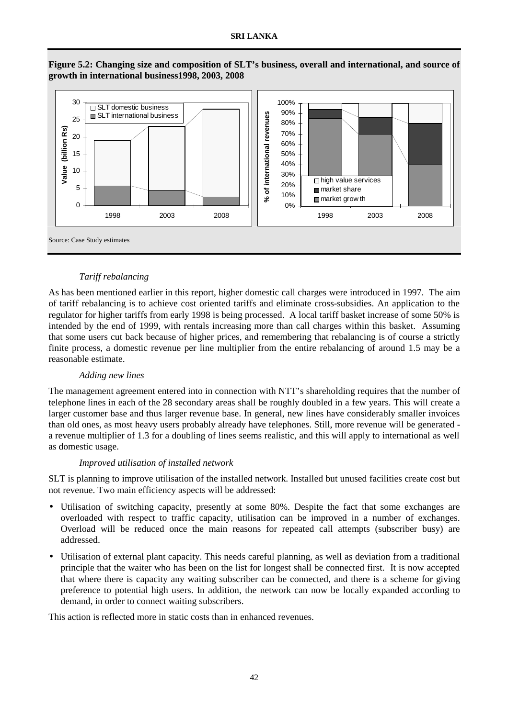

**Figure 5.2: Changing size and composition of SLT's business, overall and international, and source of growth in international business1998, 2003, 2008**

## *Tariff rebalancing*

As has been mentioned earlier in this report, higher domestic call charges were introduced in 1997. The aim of tariff rebalancing is to achieve cost oriented tariffs and eliminate cross-subsidies. An application to the regulator for higher tariffs from early 1998 is being processed. A local tariff basket increase of some 50% is intended by the end of 1999, with rentals increasing more than call charges within this basket. Assuming that some users cut back because of higher prices, and remembering that rebalancing is of course a strictly finite process, a domestic revenue per line multiplier from the entire rebalancing of around 1.5 may be a reasonable estimate.

## *Adding new lines*

The management agreement entered into in connection with NTT's shareholding requires that the number of telephone lines in each of the 28 secondary areas shall be roughly doubled in a few years. This will create a larger customer base and thus larger revenue base. In general, new lines have considerably smaller invoices than old ones, as most heavy users probably already have telephones. Still, more revenue will be generated a revenue multiplier of 1.3 for a doubling of lines seems realistic, and this will apply to international as well as domestic usage.

## *Improved utilisation of installed network*

SLT is planning to improve utilisation of the installed network. Installed but unused facilities create cost but not revenue. Two main efficiency aspects will be addressed:

- Utilisation of switching capacity, presently at some 80%. Despite the fact that some exchanges are overloaded with respect to traffic capacity, utilisation can be improved in a number of exchanges. Overload will be reduced once the main reasons for repeated call attempts (subscriber busy) are addressed.
- Utilisation of external plant capacity. This needs careful planning, as well as deviation from a traditional principle that the waiter who has been on the list for longest shall be connected first. It is now accepted that where there is capacity any waiting subscriber can be connected, and there is a scheme for giving preference to potential high users. In addition, the network can now be locally expanded according to demand, in order to connect waiting subscribers.

This action is reflected more in static costs than in enhanced revenues.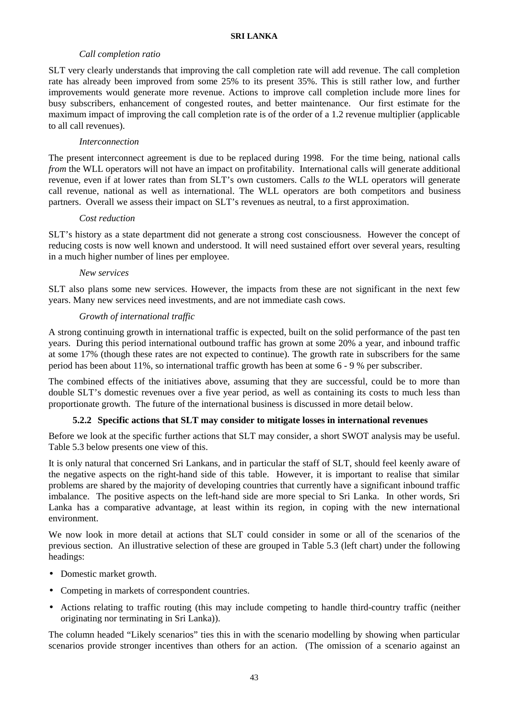## *Call completion ratio*

SLT very clearly understands that improving the call completion rate will add revenue. The call completion rate has already been improved from some 25% to its present 35%. This is still rather low, and further improvements would generate more revenue. Actions to improve call completion include more lines for busy subscribers, enhancement of congested routes, and better maintenance. Our first estimate for the maximum impact of improving the call completion rate is of the order of a 1.2 revenue multiplier (applicable to all call revenues).

## *Interconnection*

The present interconnect agreement is due to be replaced during 1998. For the time being, national calls *from* the WLL operators will not have an impact on profitability. International calls will generate additional revenue, even if at lower rates than from SLT's own customers. Calls *to* the WLL operators will generate call revenue, national as well as international. The WLL operators are both competitors and business partners. Overall we assess their impact on SLT's revenues as neutral, to a first approximation.

## *Cost reduction*

SLT's history as a state department did not generate a strong cost consciousness. However the concept of reducing costs is now well known and understood. It will need sustained effort over several years, resulting in a much higher number of lines per employee.

## *New services*

SLT also plans some new services. However, the impacts from these are not significant in the next few years. Many new services need investments, and are not immediate cash cows.

## *Growth of international traffic*

A strong continuing growth in international traffic is expected, built on the solid performance of the past ten years. During this period international outbound traffic has grown at some 20% a year, and inbound traffic at some 17% (though these rates are not expected to continue). The growth rate in subscribers for the same period has been about 11%, so international traffic growth has been at some 6 - 9 % per subscriber.

The combined effects of the initiatives above, assuming that they are successful, could be to more than double SLT's domestic revenues over a five year period, as well as containing its costs to much less than proportionate growth. The future of the international business is discussed in more detail below.

## **5.2.2 Specific actions that SLT may consider to mitigate losses in international revenues**

Before we look at the specific further actions that SLT may consider, a short SWOT analysis may be useful. Table 5.3 below presents one view of this.

It is only natural that concerned Sri Lankans, and in particular the staff of SLT, should feel keenly aware of the negative aspects on the right-hand side of this table. However, it is important to realise that similar problems are shared by the majority of developing countries that currently have a significant inbound traffic imbalance. The positive aspects on the left-hand side are more special to Sri Lanka. In other words, Sri Lanka has a comparative advantage, at least within its region, in coping with the new international environment.

We now look in more detail at actions that SLT could consider in some or all of the scenarios of the previous section. An illustrative selection of these are grouped in Table 5.3 (left chart) under the following headings:

- Domestic market growth.
- Competing in markets of correspondent countries.
- Actions relating to traffic routing (this may include competing to handle third-country traffic (neither originating nor terminating in Sri Lanka)).

The column headed "Likely scenarios" ties this in with the scenario modelling by showing when particular scenarios provide stronger incentives than others for an action. (The omission of a scenario against an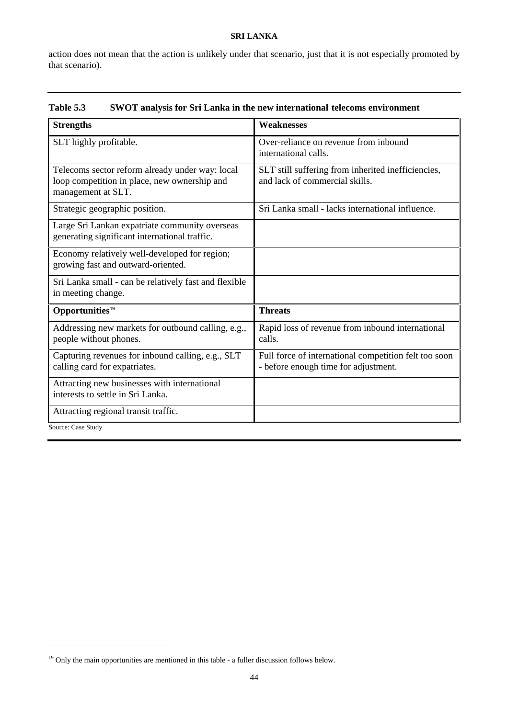action does not mean that the action is unlikely under that scenario, just that it is not especially promoted by that scenario).

| Table 5.3 |  |  |  | <b>SWOT analysis for Sri Lanka in the new international telecoms environment</b> |
|-----------|--|--|--|----------------------------------------------------------------------------------|
|-----------|--|--|--|----------------------------------------------------------------------------------|

| <b>Strengths</b>                                                                                                      | <b>Weaknesses</b>                                                                             |
|-----------------------------------------------------------------------------------------------------------------------|-----------------------------------------------------------------------------------------------|
| SLT highly profitable.                                                                                                | Over-reliance on revenue from inbound<br>international calls.                                 |
| Telecoms sector reform already under way: local<br>loop competition in place, new ownership and<br>management at SLT. | SLT still suffering from inherited inefficiencies,<br>and lack of commercial skills.          |
| Strategic geographic position.                                                                                        | Sri Lanka small - lacks international influence.                                              |
| Large Sri Lankan expatriate community overseas<br>generating significant international traffic.                       |                                                                                               |
| Economy relatively well-developed for region;<br>growing fast and outward-oriented.                                   |                                                                                               |
| Sri Lanka small - can be relatively fast and flexible<br>in meeting change.                                           |                                                                                               |
| Opportunities <sup>19</sup>                                                                                           | <b>Threats</b>                                                                                |
| Addressing new markets for outbound calling, e.g.,<br>people without phones.                                          | Rapid loss of revenue from inbound international<br>calls.                                    |
| Capturing revenues for inbound calling, e.g., SLT<br>calling card for expatriates.                                    | Full force of international competition felt too soon<br>- before enough time for adjustment. |
| Attracting new businesses with international<br>interests to settle in Sri Lanka.                                     |                                                                                               |
| Attracting regional transit traffic.                                                                                  |                                                                                               |
| Source: Case Study                                                                                                    |                                                                                               |

 $\overline{a}$ 

<sup>&</sup>lt;sup>19</sup> Only the main opportunities are mentioned in this table - a fuller discussion follows below.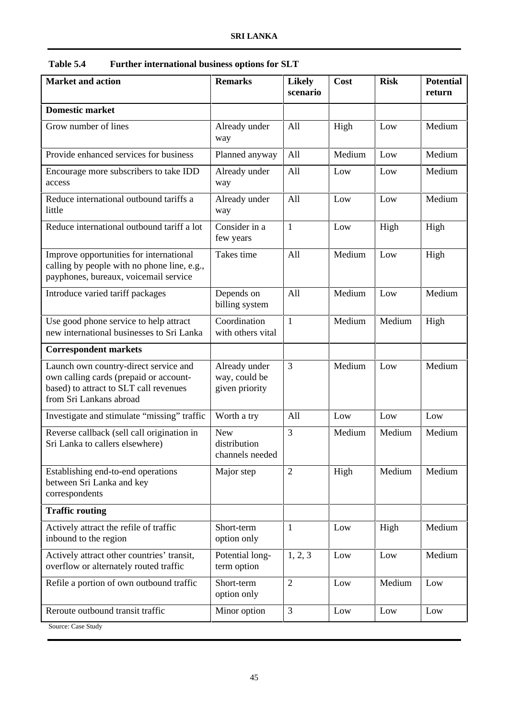| <b>Market and action</b>                                                                                                                             | <b>Remarks</b>                                   | <b>Likely</b><br>scenario | Cost   | <b>Risk</b> | <b>Potential</b><br>return |
|------------------------------------------------------------------------------------------------------------------------------------------------------|--------------------------------------------------|---------------------------|--------|-------------|----------------------------|
| <b>Domestic market</b>                                                                                                                               |                                                  |                           |        |             |                            |
| Grow number of lines                                                                                                                                 | Already under                                    | All                       | High   | Low         | Medium                     |
|                                                                                                                                                      | way                                              |                           |        |             |                            |
| Provide enhanced services for business                                                                                                               | Planned anyway                                   | All                       | Medium | Low         | Medium                     |
| Encourage more subscribers to take IDD<br>access                                                                                                     | Already under<br>way                             | All                       | Low    | Low         | Medium                     |
| Reduce international outbound tariffs a<br>little                                                                                                    | Already under<br>way                             | All                       | Low    | Low         | Medium                     |
| Reduce international outbound tariff a lot                                                                                                           | Consider in a<br>few years                       | $\mathbf{1}$              | Low    | High        | High                       |
| Improve opportunities for international<br>calling by people with no phone line, e.g.,<br>payphones, bureaux, voicemail service                      | Takes time                                       | All                       | Medium | Low         | High                       |
| Introduce varied tariff packages                                                                                                                     | Depends on<br>billing system                     | All                       | Medium | Low         | Medium                     |
| Use good phone service to help attract<br>new international businesses to Sri Lanka                                                                  | Coordination<br>with others vital                | $\mathbf{1}$              | Medium | Medium      | High                       |
| <b>Correspondent markets</b>                                                                                                                         |                                                  |                           |        |             |                            |
| Launch own country-direct service and<br>own calling cards (prepaid or account-<br>based) to attract to SLT call revenues<br>from Sri Lankans abroad | Already under<br>way, could be<br>given priority | 3                         | Medium | Low         | Medium                     |
| Investigate and stimulate "missing" traffic                                                                                                          | Worth a try                                      | All                       | Low    | Low         | Low                        |
| Reverse callback (sell call origination in<br>Sri Lanka to callers elsewhere)                                                                        | <b>New</b><br>distribution<br>channels needed    | 3                         | Medium | Medium      | Medium                     |
| Establishing end-to-end operations<br>between Sri Lanka and key<br>correspondents                                                                    | Major step                                       | $\overline{2}$            | High   | Medium      | Medium                     |
| <b>Traffic routing</b>                                                                                                                               |                                                  |                           |        |             |                            |
| Actively attract the refile of traffic<br>inbound to the region                                                                                      | Short-term<br>option only                        | $\mathbf{1}$              | Low    | High        | Medium                     |
| Actively attract other countries' transit,<br>overflow or alternately routed traffic                                                                 | Potential long-<br>term option                   | 1, 2, 3                   | Low    | Low         | Medium                     |
| Refile a portion of own outbound traffic                                                                                                             | Short-term<br>option only                        | $\overline{2}$            | Low    | Medium      | Low                        |
| Reroute outbound transit traffic                                                                                                                     | Minor option                                     | 3                         | Low    | Low         | Low                        |
| Source: Case Study                                                                                                                                   |                                                  |                           |        |             |                            |

**Table 5.4 Further international business options for SLT**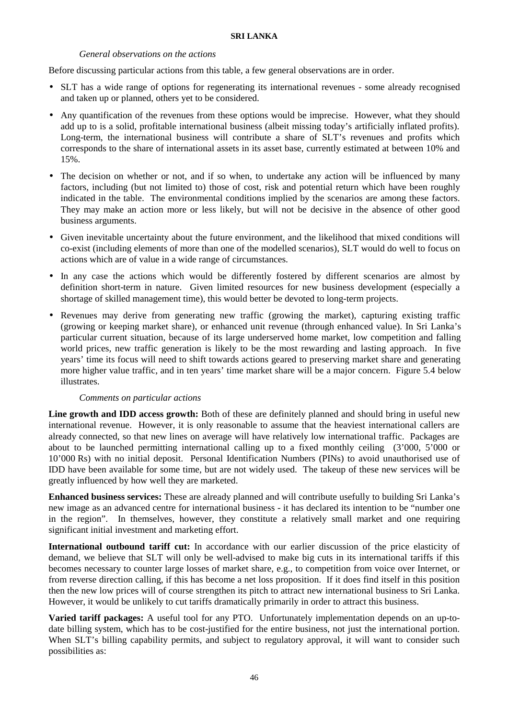#### *General observations on the actions*

Before discussing particular actions from this table, a few general observations are in order.

- SLT has a wide range of options for regenerating its international revenues some already recognised and taken up or planned, others yet to be considered.
- Any quantification of the revenues from these options would be imprecise. However, what they should add up to is a solid, profitable international business (albeit missing today's artificially inflated profits). Long-term, the international business will contribute a share of SLT's revenues and profits which corresponds to the share of international assets in its asset base, currently estimated at between 10% and 15%.
- The decision on whether or not, and if so when, to undertake any action will be influenced by many factors, including (but not limited to) those of cost, risk and potential return which have been roughly indicated in the table. The environmental conditions implied by the scenarios are among these factors. They may make an action more or less likely, but will not be decisive in the absence of other good business arguments.
- Given inevitable uncertainty about the future environment, and the likelihood that mixed conditions will co-exist (including elements of more than one of the modelled scenarios), SLT would do well to focus on actions which are of value in a wide range of circumstances.
- In any case the actions which would be differently fostered by different scenarios are almost by definition short-term in nature. Given limited resources for new business development (especially a shortage of skilled management time), this would better be devoted to long-term projects.
- Revenues may derive from generating new traffic (growing the market), capturing existing traffic (growing or keeping market share), or enhanced unit revenue (through enhanced value). In Sri Lanka's particular current situation, because of its large underserved home market, low competition and falling world prices, new traffic generation is likely to be the most rewarding and lasting approach. In five years' time its focus will need to shift towards actions geared to preserving market share and generating more higher value traffic, and in ten years' time market share will be a major concern. Figure 5.4 below illustrates.

## *Comments on particular actions*

Line growth and IDD access growth: Both of these are definitely planned and should bring in useful new international revenue. However, it is only reasonable to assume that the heaviest international callers are already connected, so that new lines on average will have relatively low international traffic. Packages are about to be launched permitting international calling up to a fixed monthly ceiling (3'000, 5'000 or 10'000 Rs) with no initial deposit. Personal Identification Numbers (PINs) to avoid unauthorised use of IDD have been available for some time, but are not widely used. The takeup of these new services will be greatly influenced by how well they are marketed.

**Enhanced business services:** These are already planned and will contribute usefully to building Sri Lanka's new image as an advanced centre for international business - it has declared its intention to be "number one in the region". In themselves, however, they constitute a relatively small market and one requiring significant initial investment and marketing effort.

**International outbound tariff cut:** In accordance with our earlier discussion of the price elasticity of demand, we believe that SLT will only be well-advised to make big cuts in its international tariffs if this becomes necessary to counter large losses of market share, e.g., to competition from voice over Internet, or from reverse direction calling, if this has become a net loss proposition. If it does find itself in this position then the new low prices will of course strengthen its pitch to attract new international business to Sri Lanka. However, it would be unlikely to cut tariffs dramatically primarily in order to attract this business.

**Varied tariff packages:** A useful tool for any PTO. Unfortunately implementation depends on an up-todate billing system, which has to be cost-justified for the entire business, not just the international portion. When SLT's billing capability permits, and subject to regulatory approval, it will want to consider such possibilities as: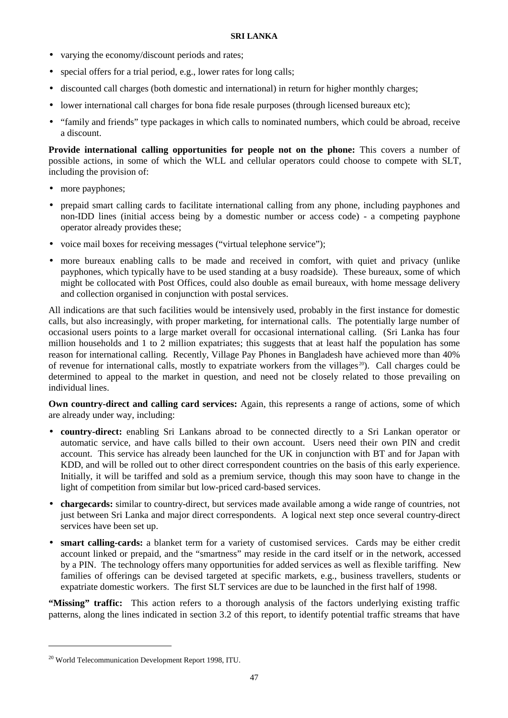- varying the economy/discount periods and rates;
- special offers for a trial period, e.g., lower rates for long calls;
- discounted call charges (both domestic and international) in return for higher monthly charges;
- lower international call charges for bona fide resale purposes (through licensed bureaux etc);
- "family and friends" type packages in which calls to nominated numbers, which could be abroad, receive a discount.

**Provide international calling opportunities for people not on the phone:** This covers a number of possible actions, in some of which the WLL and cellular operators could choose to compete with SLT, including the provision of:

- more payphones;
- prepaid smart calling cards to facilitate international calling from any phone, including payphones and non-IDD lines (initial access being by a domestic number or access code) - a competing payphone operator already provides these;
- voice mail boxes for receiving messages ("virtual telephone service");
- more bureaux enabling calls to be made and received in comfort, with quiet and privacy (unlike payphones, which typically have to be used standing at a busy roadside). These bureaux, some of which might be collocated with Post Offices, could also double as email bureaux, with home message delivery and collection organised in conjunction with postal services.

All indications are that such facilities would be intensively used, probably in the first instance for domestic calls, but also increasingly, with proper marketing, for international calls. The potentially large number of occasional users points to a large market overall for occasional international calling. (Sri Lanka has four million households and 1 to 2 million expatriates; this suggests that at least half the population has some reason for international calling. Recently, Village Pay Phones in Bangladesh have achieved more than 40% of revenue for international calls, mostly to expatriate workers from the villages<sup>20</sup>). Call charges could be determined to appeal to the market in question, and need not be closely related to those prevailing on individual lines.

**Own country-direct and calling card services:** Again, this represents a range of actions, some of which are already under way, including:

- **country-direct:** enabling Sri Lankans abroad to be connected directly to a Sri Lankan operator or automatic service, and have calls billed to their own account. Users need their own PIN and credit account. This service has already been launched for the UK in conjunction with BT and for Japan with KDD, and will be rolled out to other direct correspondent countries on the basis of this early experience. Initially, it will be tariffed and sold as a premium service, though this may soon have to change in the light of competition from similar but low-priced card-based services.
- **chargecards:** similar to country-direct, but services made available among a wide range of countries, not just between Sri Lanka and major direct correspondents. A logical next step once several country-direct services have been set up.
- **smart calling-cards:** a blanket term for a variety of customised services. Cards may be either credit account linked or prepaid, and the "smartness" may reside in the card itself or in the network, accessed by a PIN. The technology offers many opportunities for added services as well as flexible tariffing. New families of offerings can be devised targeted at specific markets, e.g., business travellers, students or expatriate domestic workers. The first SLT services are due to be launched in the first half of 1998.

**"Missing" traffic:** This action refers to a thorough analysis of the factors underlying existing traffic patterns, along the lines indicated in section 3.2 of this report, to identify potential traffic streams that have

<u>.</u>

<sup>&</sup>lt;sup>20</sup> World Telecommunication Development Report 1998, ITU.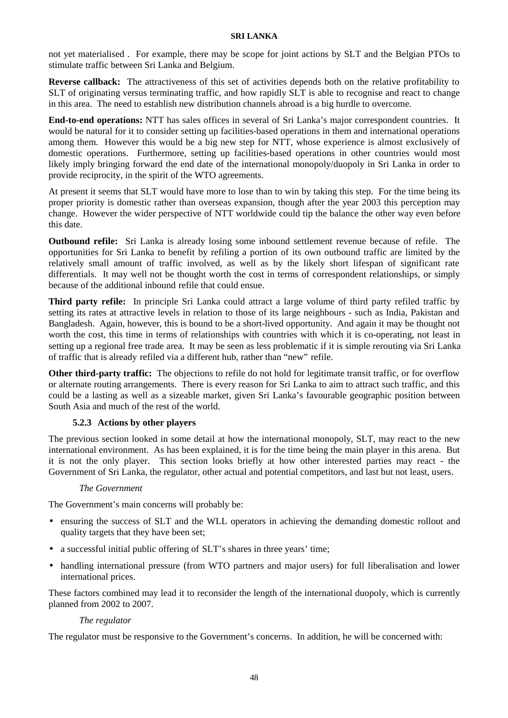not yet materialised . For example, there may be scope for joint actions by SLT and the Belgian PTOs to stimulate traffic between Sri Lanka and Belgium.

**Reverse callback:** The attractiveness of this set of activities depends both on the relative profitability to SLT of originating versus terminating traffic, and how rapidly SLT is able to recognise and react to change in this area. The need to establish new distribution channels abroad is a big hurdle to overcome.

**End-to-end operations:** NTT has sales offices in several of Sri Lanka's major correspondent countries. It would be natural for it to consider setting up facilities-based operations in them and international operations among them. However this would be a big new step for NTT, whose experience is almost exclusively of domestic operations. Furthermore, setting up facilities-based operations in other countries would most likely imply bringing forward the end date of the international monopoly/duopoly in Sri Lanka in order to provide reciprocity, in the spirit of the WTO agreements.

At present it seems that SLT would have more to lose than to win by taking this step. For the time being its proper priority is domestic rather than overseas expansion, though after the year 2003 this perception may change. However the wider perspective of NTT worldwide could tip the balance the other way even before this date.

**Outbound refile:** Sri Lanka is already losing some inbound settlement revenue because of refile. The opportunities for Sri Lanka to benefit by refiling a portion of its own outbound traffic are limited by the relatively small amount of traffic involved, as well as by the likely short lifespan of significant rate differentials. It may well not be thought worth the cost in terms of correspondent relationships, or simply because of the additional inbound refile that could ensue.

**Third party refile:** In principle Sri Lanka could attract a large volume of third party refiled traffic by setting its rates at attractive levels in relation to those of its large neighbours - such as India, Pakistan and Bangladesh. Again, however, this is bound to be a short-lived opportunity. And again it may be thought not worth the cost, this time in terms of relationships with countries with which it is co-operating, not least in setting up a regional free trade area. It may be seen as less problematic if it is simple rerouting via Sri Lanka of traffic that is already refiled via a different hub, rather than "new" refile.

**Other third-party traffic:** The objections to refile do not hold for legitimate transit traffic, or for overflow or alternate routing arrangements. There is every reason for Sri Lanka to aim to attract such traffic, and this could be a lasting as well as a sizeable market, given Sri Lanka's favourable geographic position between South Asia and much of the rest of the world.

## **5.2.3 Actions by other players**

The previous section looked in some detail at how the international monopoly, SLT, may react to the new international environment. As has been explained, it is for the time being the main player in this arena. But it is not the only player. This section looks briefly at how other interested parties may react - the Government of Sri Lanka, the regulator, other actual and potential competitors, and last but not least, users.

## *The Government*

The Government's main concerns will probably be:

- ensuring the success of SLT and the WLL operators in achieving the demanding domestic rollout and quality targets that they have been set;
- a successful initial public offering of SLT's shares in three years' time;
- handling international pressure (from WTO partners and major users) for full liberalisation and lower international prices.

These factors combined may lead it to reconsider the length of the international duopoly, which is currently planned from 2002 to 2007.

## *The regulator*

The regulator must be responsive to the Government's concerns. In addition, he will be concerned with: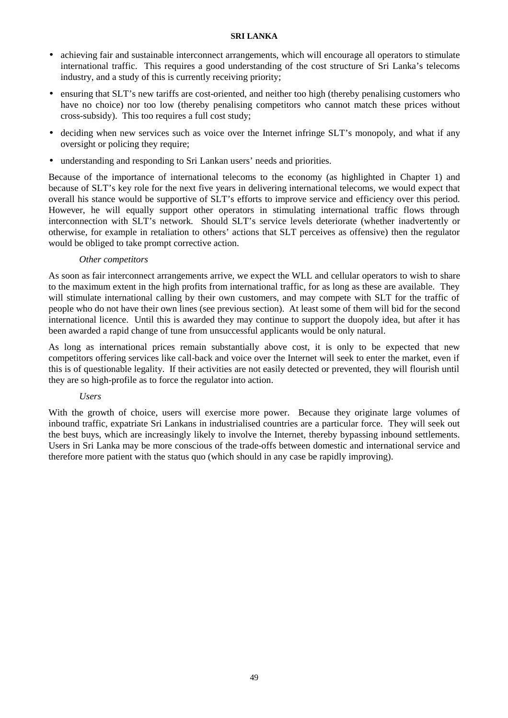- achieving fair and sustainable interconnect arrangements, which will encourage all operators to stimulate international traffic. This requires a good understanding of the cost structure of Sri Lanka's telecoms industry, and a study of this is currently receiving priority;
- ensuring that SLT's new tariffs are cost-oriented, and neither too high (thereby penalising customers who have no choice) nor too low (thereby penalising competitors who cannot match these prices without cross-subsidy). This too requires a full cost study;
- deciding when new services such as voice over the Internet infringe SLT's monopoly, and what if any oversight or policing they require;
- understanding and responding to Sri Lankan users' needs and priorities.

Because of the importance of international telecoms to the economy (as highlighted in Chapter 1) and because of SLT's key role for the next five years in delivering international telecoms, we would expect that overall his stance would be supportive of SLT's efforts to improve service and efficiency over this period. However, he will equally support other operators in stimulating international traffic flows through interconnection with SLT's network. Should SLT's service levels deteriorate (whether inadvertently or otherwise, for example in retaliation to others' actions that SLT perceives as offensive) then the regulator would be obliged to take prompt corrective action.

#### *Other competitors*

As soon as fair interconnect arrangements arrive, we expect the WLL and cellular operators to wish to share to the maximum extent in the high profits from international traffic, for as long as these are available. They will stimulate international calling by their own customers, and may compete with SLT for the traffic of people who do not have their own lines (see previous section). At least some of them will bid for the second international licence. Until this is awarded they may continue to support the duopoly idea, but after it has been awarded a rapid change of tune from unsuccessful applicants would be only natural.

As long as international prices remain substantially above cost, it is only to be expected that new competitors offering services like call-back and voice over the Internet will seek to enter the market, even if this is of questionable legality. If their activities are not easily detected or prevented, they will flourish until they are so high-profile as to force the regulator into action.

## *Users*

With the growth of choice, users will exercise more power. Because they originate large volumes of inbound traffic, expatriate Sri Lankans in industrialised countries are a particular force. They will seek out the best buys, which are increasingly likely to involve the Internet, thereby bypassing inbound settlements. Users in Sri Lanka may be more conscious of the trade-offs between domestic and international service and therefore more patient with the status quo (which should in any case be rapidly improving).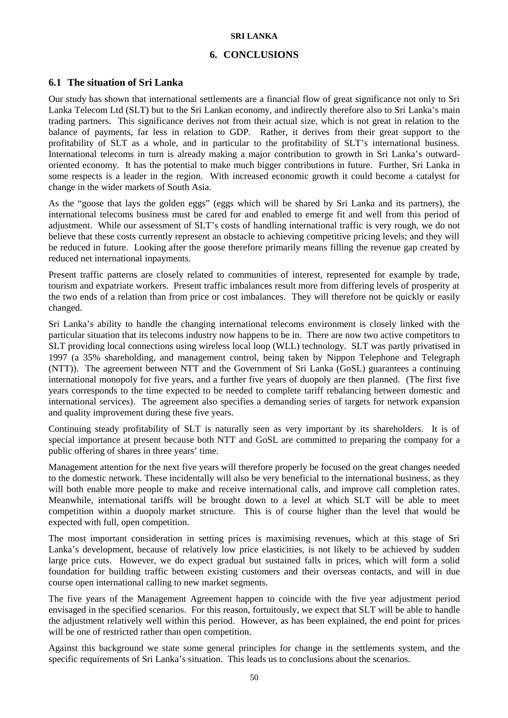## **6. CONCLUSIONS**

## **6.1 The situation of Sri Lanka**

Our study has shown that international settlements are a financial flow of great significance not only to Sri Lanka Telecom Ltd (SLT) but to the Sri Lankan economy, and indirectly therefore also to Sri Lanka's main trading partners. This significance derives not from their actual size, which is not great in relation to the balance of payments, far less in relation to GDP. Rather, it derives from their great support to the profitability of SLT as a whole, and in particular to the profitability of SLT's international business. International telecoms in turn is already making a major contribution to growth in Sri Lanka's outwardoriented economy. It has the potential to make much bigger contributions in future. Further, Sri Lanka in some respects is a leader in the region. With increased economic growth it could become a catalyst for change in the wider markets of South Asia.

As the "goose that lays the golden eggs" (eggs which will be shared by Sri Lanka and its partners), the international telecoms business must be cared for and enabled to emerge fit and well from this period of adjustment. While our assessment of SLT's costs of handling international traffic is very rough, we do not believe that these costs currently represent an obstacle to achieving competitive pricing levels; and they will be reduced in future. Looking after the goose therefore primarily means filling the revenue gap created by reduced net international inpayments.

Present traffic patterns are closely related to communities of interest, represented for example by trade, tourism and expatriate workers. Present traffic imbalances result more from differing levels of prosperity at the two ends of a relation than from price or cost imbalances. They will therefore not be quickly or easily changed.

Sri Lanka's ability to handle the changing international telecoms environment is closely linked with the particular situation that its telecoms industry now happens to be in. There are now two active competitors to SLT providing local connections using wireless local loop (WLL) technology. SLT was partly privatised in 1997 (a 35% shareholding, and management control, being taken by Nippon Telephone and Telegraph (NTT)). The agreement between NTT and the Government of Sri Lanka (GoSL) guarantees a continuing international monopoly for five years, and a further five years of duopoly are then planned. (The first five years corresponds to the time expected to be needed to complete tariff rebalancing between domestic and international services). The agreement also specifies a demanding series of targets for network expansion and quality improvement during these five years.

Continuing steady profitability of SLT is naturally seen as very important by its shareholders. It is of special importance at present because both NTT and GoSL are committed to preparing the company for a public offering of shares in three years' time.

Management attention for the next five years will therefore properly be focused on the great changes needed to the domestic network. These incidentally will also be very beneficial to the international business, as they will both enable more people to make and receive international calls, and improve call completion rates. Meanwhile, international tariffs will be brought down to a level at which SLT will be able to meet competition within a duopoly market structure. This is of course higher than the level that would be expected with full, open competition.

The most important consideration in setting prices is maximising revenues, which at this stage of Sri Lanka's development, because of relatively low price elasticities, is not likely to be achieved by sudden large price cuts. However, we do expect gradual but sustained falls in prices, which will form a solid foundation for building traffic between existing customers and their overseas contacts, and will in due course open international calling to new market segments.

The five years of the Management Agreement happen to coincide with the five year adjustment period envisaged in the specified scenarios. For this reason, fortuitously, we expect that SLT will be able to handle the adjustment relatively well within this period. However, as has been explained, the end point for prices will be one of restricted rather than open competition.

Against this background we state some general principles for change in the settlements system, and the specific requirements of Sri Lanka's situation. This leads us to conclusions about the scenarios.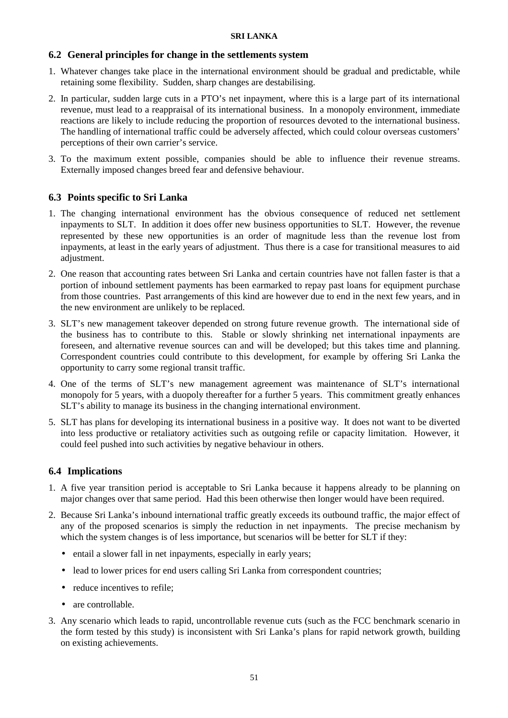## **6.2 General principles for change in the settlements system**

- 1. Whatever changes take place in the international environment should be gradual and predictable, while retaining some flexibility. Sudden, sharp changes are destabilising.
- 2. In particular, sudden large cuts in a PTO's net inpayment, where this is a large part of its international revenue, must lead to a reappraisal of its international business. In a monopoly environment, immediate reactions are likely to include reducing the proportion of resources devoted to the international business. The handling of international traffic could be adversely affected, which could colour overseas customers' perceptions of their own carrier's service.
- 3. To the maximum extent possible, companies should be able to influence their revenue streams. Externally imposed changes breed fear and defensive behaviour.

## **6.3 Points specific to Sri Lanka**

- 1. The changing international environment has the obvious consequence of reduced net settlement inpayments to SLT. In addition it does offer new business opportunities to SLT. However, the revenue represented by these new opportunities is an order of magnitude less than the revenue lost from inpayments, at least in the early years of adjustment. Thus there is a case for transitional measures to aid adjustment.
- 2. One reason that accounting rates between Sri Lanka and certain countries have not fallen faster is that a portion of inbound settlement payments has been earmarked to repay past loans for equipment purchase from those countries. Past arrangements of this kind are however due to end in the next few years, and in the new environment are unlikely to be replaced.
- 3. SLT's new management takeover depended on strong future revenue growth. The international side of the business has to contribute to this. Stable or slowly shrinking net international inpayments are foreseen, and alternative revenue sources can and will be developed; but this takes time and planning. Correspondent countries could contribute to this development, for example by offering Sri Lanka the opportunity to carry some regional transit traffic.
- 4. One of the terms of SLT's new management agreement was maintenance of SLT's international monopoly for 5 years, with a duopoly thereafter for a further 5 years. This commitment greatly enhances SLT's ability to manage its business in the changing international environment.
- 5. SLT has plans for developing its international business in a positive way. It does not want to be diverted into less productive or retaliatory activities such as outgoing refile or capacity limitation. However, it could feel pushed into such activities by negative behaviour in others.

## **6.4 Implications**

- 1. A five year transition period is acceptable to Sri Lanka because it happens already to be planning on major changes over that same period. Had this been otherwise then longer would have been required.
- 2. Because Sri Lanka's inbound international traffic greatly exceeds its outbound traffic, the major effect of any of the proposed scenarios is simply the reduction in net inpayments. The precise mechanism by which the system changes is of less importance, but scenarios will be better for SLT if they:
	- entail a slower fall in net inpayments, especially in early years;
	- lead to lower prices for end users calling Sri Lanka from correspondent countries;
	- reduce incentives to refile:
	- are controllable.
- 3. Any scenario which leads to rapid, uncontrollable revenue cuts (such as the FCC benchmark scenario in the form tested by this study) is inconsistent with Sri Lanka's plans for rapid network growth, building on existing achievements.